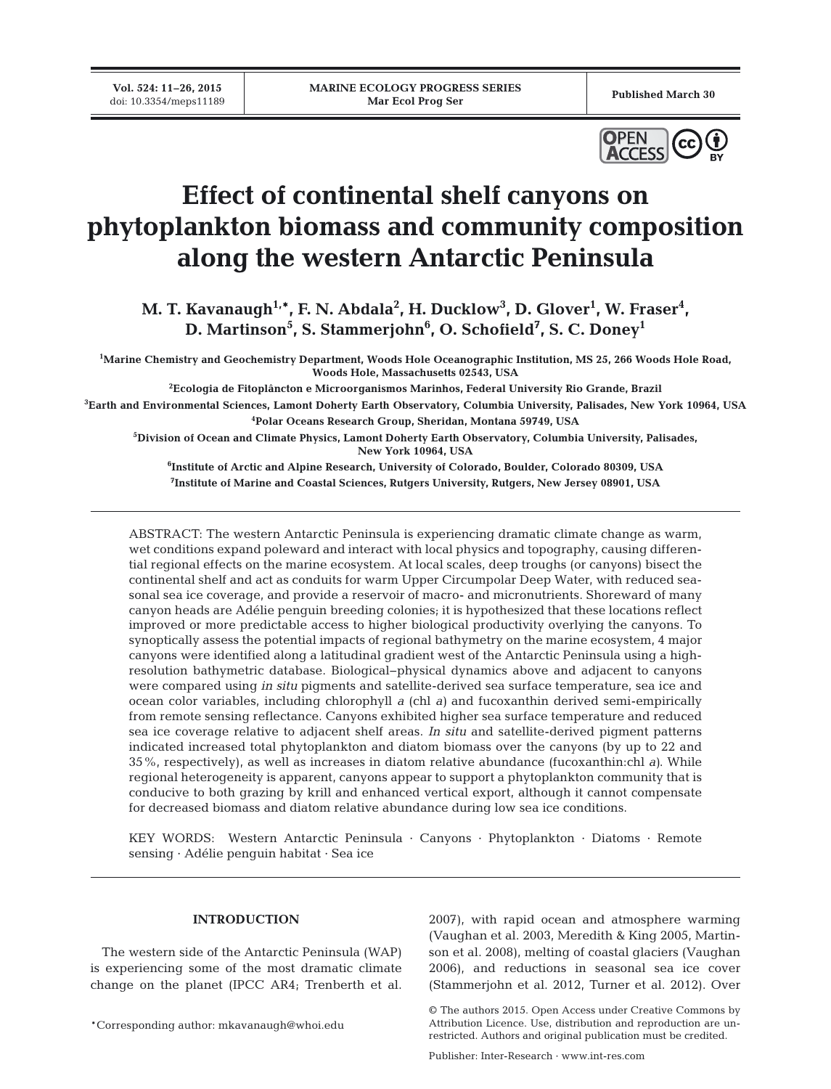**Vol. 524: 11–26, 2015**



# **Effect of continental shelf canyons on phytoplankton biomass and community composition along the western Antarctic Peninsula**

M. T. Kavanaugh<sup>1,\*</sup>, F. N. Abdala<sup>2</sup>, H. Ducklow<sup>3</sup>, D. Glover<sup>1</sup>, W. Fraser<sup>4</sup>, **D. Martinson5 , S. Stammerjohn6 , O. Schofield7 , S. C. Doney1**

**1 Marine Chemistry and Geochemistry Department, Woods Hole Oceanographic Institution, MS 25, 266 Woods Hole Road, Woods Hole, Massachusetts 02543, USA**

**2 Ecologia de Fitoplâncton e Microorganismos Marinhos, Federal University Rio Grande, Brazil 3 Earth and Environmental Sciences, Lamont Doherty Earth Observatory, Columbia University, Palisades, New York 10964, USA 4 Polar Oceans Research Group, Sheridan, Montana 59749, USA**

**5 Division of Ocean and Climate Physics, Lamont Doherty Earth Observatory, Columbia University, Palisades, New York 10964, USA**

**6 Institute of Arctic and Alpine Research, University of Colorado, Boulder, Colorado 80309, USA 7 Institute of Marine and Coastal Sciences, Rutgers University, Rutgers, New Jersey 08901, USA**

ABSTRACT: The western Antarctic Peninsula is experiencing dramatic climate change as warm, wet conditions expand poleward and interact with local physics and topography, causing differential regional effects on the marine ecosystem. At local scales, deep troughs (or canyons) bisect the continental shelf and act as conduits for warm Upper Circumpolar Deep Water, with reduced seasonal sea ice coverage, and provide a reservoir of macro- and micronutrients. Shoreward of many canyon heads are Adélie penguin breeding colonies; it is hypothesized that these locations reflect improved or more predictable access to higher biological productivity overlying the canyons. To synoptically assess the potential impacts of regional bathymetry on the marine ecosystem, 4 major canyons were identified along a latitudinal gradient west of the Antarctic Peninsula using a highresolution bathymetric database. Biological−physical dynamics above and adjacent to canyons were compared using *in situ* pigments and satellite-derived sea surface temperature, sea ice and ocean color variables, including chlorophyll *a* (chl *a)* and fucoxanthin derived semi-empirically from remote sensing reflectance. Canyons exhibited higher sea surface temperature and reduced sea ice coverage relative to adjacent shelf areas. *In situ* and satellite-derived pigment patterns indicated increased total phytoplankton and diatom biomass over the canyons (by up to 22 and 35%, respectively), as well as increases in diatom relative abundance (fucoxanthin:chl *a)*. While regional heterogeneity is apparent, canyons appear to support a phytoplankton community that is conducive to both grazing by krill and enhanced vertical export, although it cannot compensate for decreased biomass and diatom relative abundance during low sea ice conditions.

KEY WORDS: Western Antarctic Peninsula · Canyons · Phytoplankton · Diatoms · Remote sensing · Adélie penguin habitat · Sea ice

# **INTRODUCTION**

The western side of the Antarctic Peninsula (WAP) is experiencing some of the most dramatic climate change on the planet (IPCC AR4; Trenberth et al.

\*Corresponding author: mkavanaugh@whoi.edu

2007), with rapid ocean and atmosphere warming (Vaughan et al. 2003, Meredith & King 2005, Martinson et al. 2008), melting of coastal glaciers (Vaughan 2006), and reductions in seasonal sea ice cover (Stammerjohn et al. 2012, Turner et al. 2012). Over

Publisher: Inter-Research · www.int-res.com

<sup>©</sup> The authors 2015. Open Access under Creative Commons by Attribution Licence. Use, distribution and reproduction are unrestricted. Authors and original publication must be credited.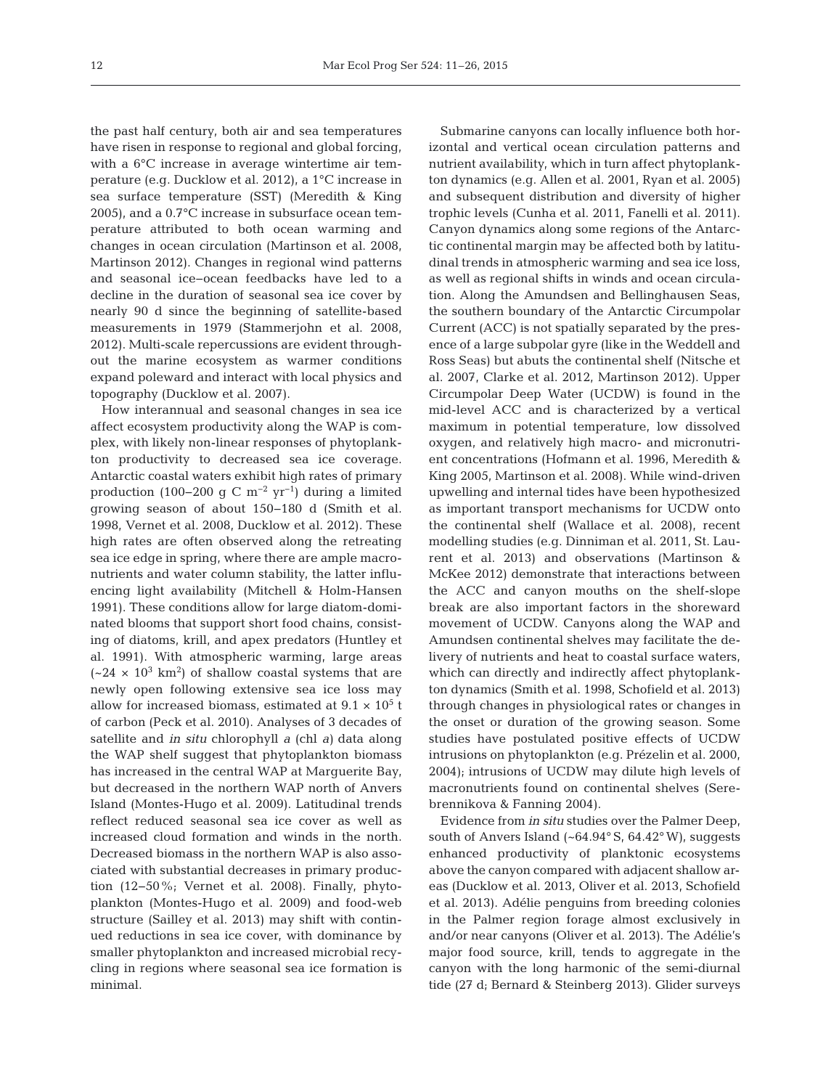the past half century, both air and sea temperatures have risen in response to regional and global forcing, with a 6°C increase in average wintertime air temperature (e.g. Ducklow et al. 2012), a 1°C increase in sea surface temperature (SST) (Meredith & King 2005), and a 0.7°C increase in subsurface ocean temperature attributed to both ocean warming and changes in ocean circulation (Martinson et al. 2008, Martinson 2012). Changes in regional wind patterns and seasonal ice−ocean feedbacks have led to a decline in the duration of seasonal sea ice cover by nearly 90 d since the beginning of satellite-based measurements in 1979 (Stammerjohn et al. 2008, 2012). Multi-scale repercussions are evident throughout the marine ecosystem as warmer conditions expand poleward and interact with local physics and topography (Ducklow et al. 2007).

How interannual and seasonal changes in sea ice affect ecosystem productivity along the WAP is complex, with likely non-linear responses of phytoplankton productivity to decreased sea ice coverage. Antarctic coastal waters exhibit high rates of primary production (100–200 g C m<sup>-2</sup> yr<sup>-1</sup>) during a limited growing season of about 150−180 d (Smith et al. 1998, Vernet et al. 2008, Ducklow et al. 2012). These high rates are often observed along the retreating sea ice edge in spring, where there are ample macronutrients and water column stability, the latter influencing light availability (Mitchell & Holm-Hansen 1991). These conditions allow for large diatom-dominated blooms that support short food chains, consisting of diatoms, krill, and apex predators (Huntley et al. 1991). With atmospheric warming, large areas  $({\sim}24 \times 10^3 \text{ km}^2)$  of shallow coastal systems that are newly open following extensive sea ice loss may allow for increased biomass, estimated at  $9.1 \times 10^5$  t of carbon (Peck et al. 2010). Analyses of 3 decades of satellite and *in situ* chlorophyll *a* (chl *a)* data along the WAP shelf suggest that phytoplankton biomass has increased in the central WAP at Marguerite Bay, but decreased in the northern WAP north of Anvers Island (Montes-Hugo et al. 2009). Latitudinal trends reflect reduced seasonal sea ice cover as well as increased cloud formation and winds in the north. Decreased biomass in the northern WAP is also associated with substantial decreases in primary production (12−50%; Vernet et al. 2008). Finally, phytoplankton (Montes-Hugo et al. 2009) and food-web structure (Sailley et al. 2013) may shift with continued reductions in sea ice cover, with dominance by smaller phytoplankton and increased microbial recycling in regions where seasonal sea ice formation is minimal.

Submarine canyons can locally influence both horizontal and vertical ocean circulation patterns and nutrient availability, which in turn affect phytoplankton dynamics (e.g. Allen et al. 2001, Ryan et al. 2005) and subsequent distribution and diversity of higher trophic levels (Cunha et al. 2011, Fanelli et al. 2011). Canyon dynamics along some regions of the Antarctic continental margin may be affected both by latitudinal trends in atmospheric warming and sea ice loss, as well as regional shifts in winds and ocean circulation. Along the Amundsen and Bellinghausen Seas, the southern boundary of the Antarctic Circumpolar Current (ACC) is not spatially separated by the presence of a large subpolar gyre (like in the Weddell and Ross Seas) but abuts the continental shelf (Nitsche et al. 2007, Clarke et al. 2012, Martinson 2012). Upper Circumpolar Deep Water (UCDW) is found in the mid-level ACC and is characterized by a vertical maximum in potential temperature, low dissolved oxy gen, and relatively high macro- and micronutrient concentrations (Hofmann et al. 1996, Meredith & King 2005, Martinson et al. 2008). While wind-driven upwelling and internal tides have been hypothesized as important transport mechanisms for UCDW onto the continental shelf (Wallace et al. 2008), recent modelling studies (e.g. Dinniman et al. 2011, St. Laurent et al. 2013) and observations (Martinson & McKee 2012) demonstrate that interactions between the ACC and canyon mouths on the shelf-slope break are also important factors in the shoreward movement of UCDW. Canyons along the WAP and Amundsen continental shelves may facilitate the de livery of nutrients and heat to coastal surface waters, which can directly and indirectly affect phytoplankton dynamics (Smith et al. 1998, Schofield et al. 2013) through changes in physiological rates or changes in the onset or duration of the growing season. Some studies have postulated positive effects of UCDW intrusions on phytoplankton (e.g. Prézelin et al. 2000, 2004); intrusions of UCDW may dilute high levels of macronutrients found on continental shelves (Serebrennikova & Fanning 2004).

Evidence from *in situ* studies over the Palmer Deep, south of Anvers Island  $({\sim}64.94^{\circ}S, 64.42^{\circ}W)$ , suggests enhanced productivity of planktonic ecosystems above the canyon compared with adjacent shallow areas (Ducklow et al. 2013, Oliver et al. 2013, Schofield et al. 2013). Adélie penguins from breeding colonies in the Palmer region forage almost exclusively in and/or near canyons (Oliver et al. 2013). The Adélie's major food source, krill, tends to aggregate in the canyon with the long harmonic of the semi-diurnal tide (27 d; Bernard & Steinberg 2013). Glider surveys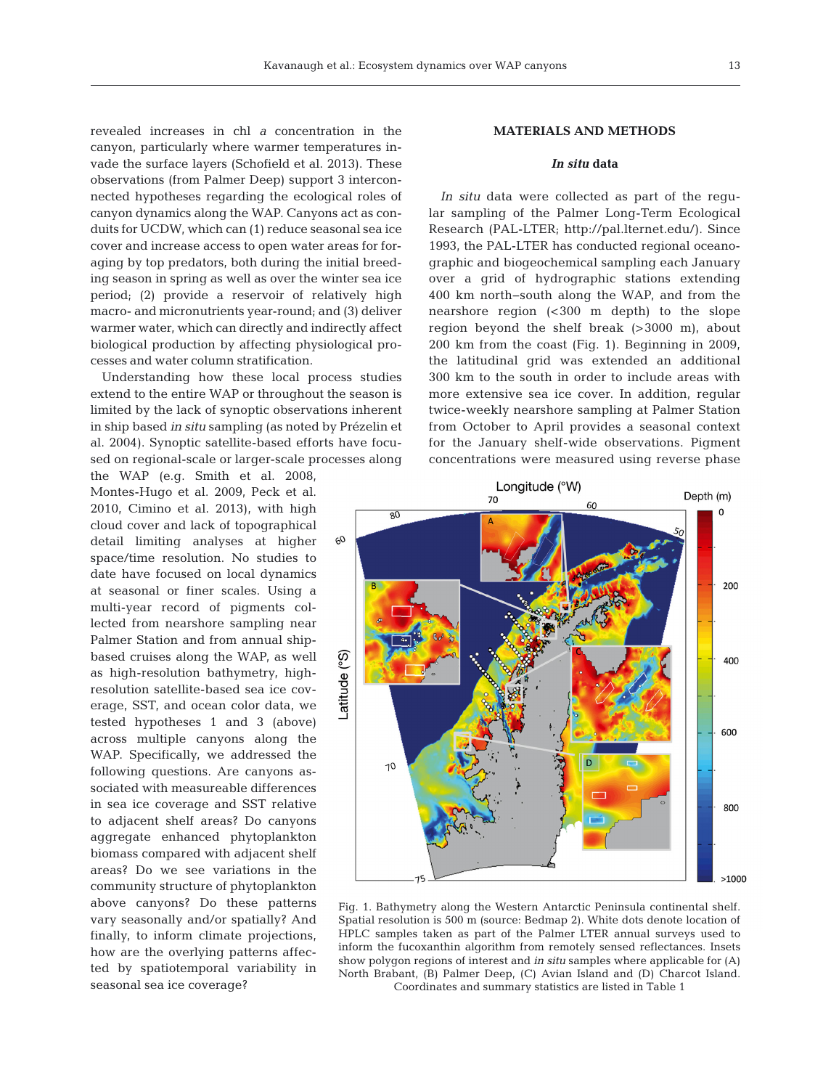revealed increases in chl *a* concentration in the canyon, particularly where warmer temperatures invade the surface layers (Schofield et al. 2013). These observations (from Palmer Deep) support 3 interconnected hypotheses regarding the ecological roles of canyon dynamics along the WAP. Canyons act as conduits for UCDW, which can (1) reduce seasonal sea ice cover and increase access to open water areas for foraging by top predators, both during the initial breeding season in spring as well as over the winter sea ice period; (2) provide a reservoir of relatively high macro- and micronutrients year-round; and (3) deliver warmer water, which can directly and indirectly affect biological production by affecting physiological processes and water column stratification.

Understanding how these local process studies extend to the entire WAP or throughout the season is limited by the lack of synoptic observations inherent in ship based *in situ* sampling (as noted by Prézelin et al. 2004). Synoptic satellite-based efforts have focused on regional-scale or larger-scale processes along

the WAP (e.g. Smith et al. 2008, Montes-Hugo et al. 2009, Peck et al. 2010, Cimino et al. 2013), with high cloud cover and lack of topographical detail limiting analyses at higher space/time resolution. No studies to date have focused on local dynamics at seasonal or finer scales. Using a multi-year record of pigments collected from nearshore sampling near Palmer Station and from annual shipbased cruises along the WAP, as well as high-resolution bathymetry, highresolution satellite-based sea ice coverage, SST, and ocean color data, we tested hypotheses 1 and 3 (above) across multiple canyons along the WAP. Specifically, we addressed the following questions. Are canyons associated with measureable differences in sea ice coverage and SST relative to adjacent shelf areas? Do canyons aggregate enhanced phytoplankton biomass compared with adjacent shelf areas? Do we see variations in the community structure of phytoplankton above canyons? Do these patterns vary seasonally and/or spatially? And finally, to inform climate projections, how are the overlying patterns affected by spatiotemporal variability in seasonal sea ice coverage?

# **MATERIALS AND METHODS**

## *In situ* **data**

*In situ* data were collected as part of the regular sampling of the Palmer Long-Term Ecological Research (PAL-LTER; http://pal.lternet.edu/). Since 1993, the PAL-LTER has conducted regional oceanographic and biogeochemical sampling each January over a grid of hydrographic stations extending 400 km north−south along the WAP, and from the nearshore region (<300 m depth) to the slope region beyond the shelf break (>3000 m), about 200 km from the coast (Fig. 1). Beginning in 2009, the latitudinal grid was extended an additional 300 km to the south in order to include areas with more extensive sea ice cover. In addition, regular twice-weekly nearshore sampling at Palmer Station from October to April provides a seasonal context for the January shelf-wide observations. Pigment concentrations were measured using reverse phase



Fig. 1. Bathymetry along the Western Antarctic Peninsula continental shelf. Spatial resolution is 500 m (source: Bedmap 2). White dots denote location of HPLC samples taken as part of the Palmer LTER annual surveys used to inform the fucoxanthin algorithm from remotely sensed reflectances. Insets show polygon regions of interest and *in situ* samples where applicable for (A) North Brabant, (B) Palmer Deep, (C) Avian Island and (D) Charcot Island. Coordinates and summary statistics are listed in Table 1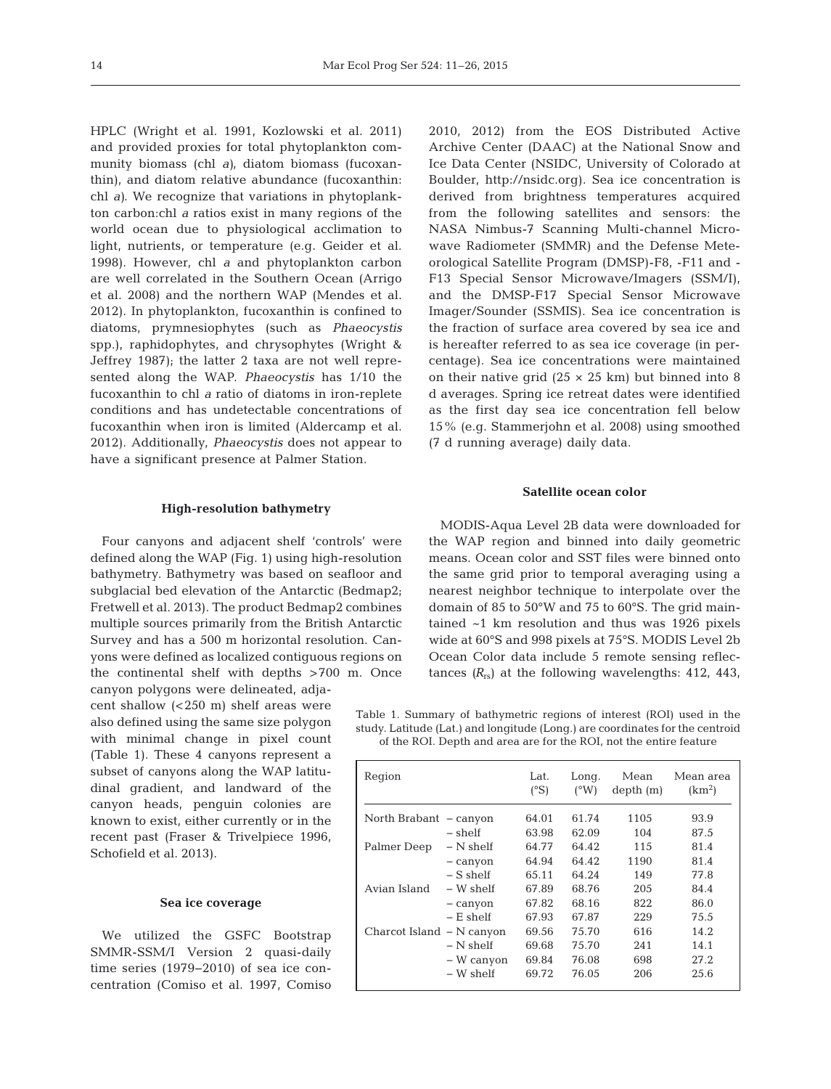HPLC (Wright et al. 1991, Kozlowski et al. 2011) and provided proxies for total phytoplankton community biomass (chl *a)*, diatom biomass (fucoxanthin), and diatom relative abundance (fucoxanthin: chl *a)*. We recognize that variations in phytoplankton carbon:chl *a* ratios exist in many regions of the world ocean due to physiological acclimation to light, nutrients, or temperature (e.g. Geider et al. 1998). However, chl *a* and phytoplankton carbon are well correlated in the Southern Ocean (Arrigo et al. 2008) and the northern WAP (Mendes et al. 2012). In phytoplankton, fucoxanthin is confined to diatoms, prymnesiophytes (such as *Phaeocystis* spp.), raphidophytes, and chrysophytes (Wright & Jeffrey 1987); the latter 2 taxa are not well represented along the WAP. *Phaeocystis* has 1/10 the fucoxanthin to chl *a* ratio of diatoms in iron-replete conditions and has undetectable concentrations of fucoxanthin when iron is limited (Aldercamp et al. 2012). Additionally, *Phaeocystis* does not appear to have a significant presence at Palmer Station.

#### **High-resolution bathymetry**

Four canyons and adjacent shelf 'controls' were defined along the WAP (Fig. 1) using high-resolution bathymetry. Bathymetry was based on seafloor and subglacial bed elevation of the Antarctic (Bedmap2; Fretwell et al. 2013). The product Bedmap2 combines multiple sources primarily from the British Antarctic Survey and has a 500 m horizontal resolution. Canyons were defined as localized contiguous regions on the continental shelf with depths >700 m. Once

canyon polygons were delineated, adjacent shallow (<250 m) shelf areas were also defined using the same size polygon with minimal change in pixel count (Table 1). These 4 canyons represent a subset of canyons along the WAP latitudinal gradient, and landward of the canyon heads, penguin colonies are known to exist, either currently or in the recent past (Fraser & Trivelpiece 1996, Schofield et al. 2013).

#### **Sea ice coverage**

We utilized the GSFC Bootstrap SMMR-SSM/I Version 2 quasi-daily time series (1979−2010) of sea ice concentration (Comiso et al. 1997, Comiso 2010, 2012) from the EOS Distributed Active Archive Center (DAAC) at the National Snow and Ice Data Center (NSIDC, University of Colorado at Boulder, http://nsidc.org). Sea ice concentration is derived from brightness temperatures acquired from the following satellites and sensors: the NASA Nimbus-7 Scanning Multi-channel Microwave Radiometer (SMMR) and the Defense Meteorological Satellite Program (DMSP)-F8, -F11 and - F13 Special Sensor Microwave/Imagers (SSM/I), and the DMSP-F17 Special Sensor Microwave Imager/Sounder (SSMIS). Sea ice concentration is the fraction of surface area covered by sea ice and is hereafter referred to as sea ice coverage (in percentage). Sea ice concentrations were maintained on their native grid  $(25 \times 25 \text{ km})$  but binned into 8 d averages. Spring ice retreat dates were identified as the first day sea ice concentration fell below 15% (e.g. Stammerjohn et al. 2008) using smoothed (7 d running average) daily data.

## **Satellite ocean color**

MODIS-Aqua Level 2B data were downloaded for the WAP region and binned into daily geometric means. Ocean color and SST files were binned onto the same grid prior to temporal averaging using a nearest neighbor technique to interpolate over the domain of 85 to 50°W and 75 to 60°S. The grid maintained ~1 km resolution and thus was 1926 pixels wide at 60°S and 998 pixels at 75°S. MODIS Level 2b Ocean Color data include 5 remote sensing reflec tances  $(R_{rs})$  at the following wavelengths: 412, 443,

Table 1. Summary of bathymetric regions of interest (ROI) used in the study. Latitude (Lat.) and longitude (Long.) are coordinates for the centroid of the ROI. Depth and area are for the ROI, not the entire feature

| Region                    |             | Lat.<br>$\rm ^{e}S$ | Long.<br>(°W) | Mean<br>depth(m) | Mean area<br>(km <sup>2</sup> ) |
|---------------------------|-------------|---------------------|---------------|------------------|---------------------------------|
| North Brabant - canyon    |             | 64.01               | 61.74         | 1105             | 93.9                            |
|                           | $-$ shelf   | 63.98               | 62.09         | 104              | 87.5                            |
| Palmer Deep               | $-$ N shelf | 64.77               | 64.42         | 115              | 81.4                            |
|                           | - canyon    | 64.94               | 64.42         | 1190             | 81.4                            |
|                           | $-$ S shelf | 65.11               | 64.24         | 149              | 77.8                            |
| Avian Island              | $-$ W shelf | 67.89               | 68.76         | 205              | 84.4                            |
|                           | - canyon    | 67.82               | 68.16         | 822              | 86.0                            |
|                           | $- E$ shelf | 67.93               | 67.87         | 229              | 75.5                            |
| Charcot Island – N canyon |             | 69.56               | 75.70         | 616              | 14.2                            |
|                           | $-$ N shelf | 69.68               | 75.70         | 241              | 14.1                            |
|                           | – W canyon  | 69.84               | 76.08         | 698              | 27.2                            |
|                           | $-$ W shelf | 69.72               | 76.05         | 206              | 25.6                            |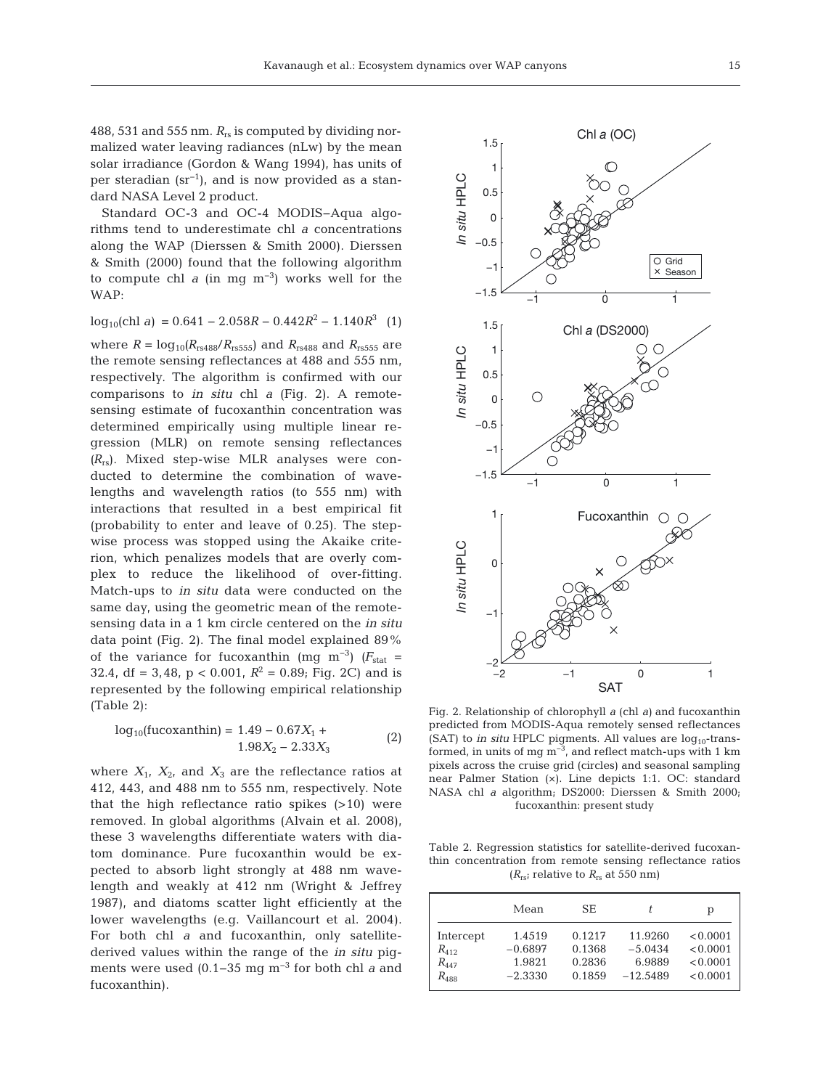488, 531 and 555 nm. *R*rs is computed by dividing normalized water leaving radiances (nLw) by the mean solar irradiance (Gordon & Wang 1994), has units of per steradian  $(sr^{-1})$ , and is now provided as a standard NASA Level 2 product.

Standard OC-3 and OC-4 MODIS−Aqua algorithms tend to underestimate chl *a* concentrations along the WAP (Dierssen & Smith 2000). Dierssen & Smith (2000) found that the following algorithm to compute chl *a* (in mg m−3) works well for the WAP:

$$
\log_{10}(\text{chl } a) = 0.641 - 2.058R - 0.442R^2 - 1.140R^3 \quad (1)
$$

where  $R = \log_{10}(R_{rs488}/R_{rs555})$  and  $R_{rs488}$  and  $R_{rs555}$  are the remote sensing reflectances at 488 and 555 nm, respectively. The algorithm is confirmed with our comparisons to *in situ* chl *a* (Fig. 2). A remotesensing estimate of fucoxanthin concentration was determined empirically using multiple linear regression (MLR) on remote sensing reflectances  $(R_{rs})$ . Mixed step-wise MLR analyses were conducted to determine the combination of wavelengths and wavelength ratios (to 555 nm) with interactions that resulted in a best empirical fit (probability to enter and leave of 0.25). The stepwise process was stopped using the Akaike criterion, which penalizes models that are overly complex to reduce the likelihood of over-fitting. Match-ups to *in situ* data were conducted on the same day, using the geometric mean of the remotesensing data in a 1 km circle centered on the *in situ* data point (Fig. 2). The final model explained 89% of the variance for fucoxanthin (mg m<sup>-3</sup>)  $(F_{\text{stat}} =$ 32.4, df = 3,48,  $p < 0.001$ ,  $R^2 = 0.89$ ; Fig. 2C) and is represented by the following empirical relationship (Table 2):

$$
log_{10}(fucoxanthin) = 1.49 - 0.67X1 +1.98X2 - 2.33X3
$$
 (2)

where  $X_1$ ,  $X_2$ , and  $X_3$  are the reflectance ratios at 412, 443, and 488 nm to 555 nm, respectively. Note that the high reflectance ratio spikes (>10) were removed. In global algorithms (Alvain et al. 2008), these 3 wavelengths differentiate waters with dia tom dominance. Pure fucoxanthin would be expected to absorb light strongly at 488 nm wavelength and weakly at 412 nm (Wright & Jeffrey 1987), and diatoms scatter light efficiently at the lower wavelengths (e.g. Vaillancourt et al. 2004). For both chl *a* and fucoxanthin, only satellitederived values within the range of the *in situ* pigments were used (0.1−35 mg m−3 for both chl *a* and fucoxanthin).



Fig. 2. Relationship of chlorophyll *a* (chl *a)* and fucoxanthin predicted from MODIS-Aqua remotely sensed reflectances (SAT) to *in situ* HPLC pigments. All values are  $log_{10}$ -transformed, in units of mg  $m^{-3}$ , and reflect match-ups with 1 km pixels across the cruise grid (circles) and seasonal sampling near Palmer Station (×). Line depicts 1:1. OC: standard NASA chl *a* algorithm; DS2000: Dierssen & Smith 2000; fucoxanthin: present study

Table 2. Regression statistics for satellite-derived fucoxanthin concentration from remote sensing reflectance ratios  $(R_{rs})$  relative to  $R_{rs}$  at 550 nm)

|           | Mean      | SЕ     |            | р        |
|-----------|-----------|--------|------------|----------|
| Intercept | 1.4519    | 0.1217 | 11.9260    | < 0.0001 |
| $R_{412}$ | $-0.6897$ | 0.1368 | $-5.0434$  | < 0.0001 |
| $R_{447}$ | 1.9821    | 0.2836 | 6.9889     | < 0.0001 |
| $R_{488}$ | $-2.3330$ | 0.1859 | $-12.5489$ | < 0.0001 |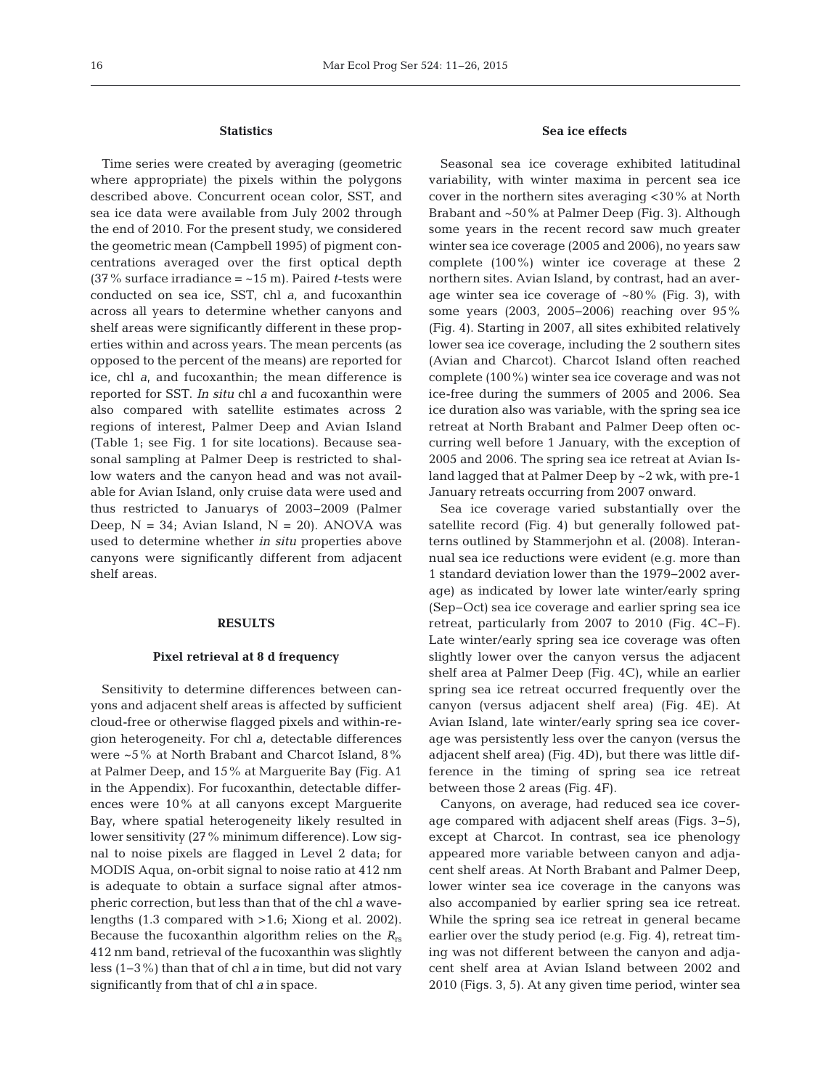# **Statistics**

Time series were created by averaging (geometric where appropriate) the pixels within the polygons described above. Concurrent ocean color, SST, and sea ice data were available from July 2002 through the end of 2010. For the present study, we considered the geometric mean (Campbell 1995) of pigment concentrations averaged over the first optical depth (37% surface irradiance = ~15 m). Paired *t*-tests were conducted on sea ice, SST, chl *a*, and fucoxanthin across all years to determine whether canyons and shelf areas were significantly different in these properties within and across years. The mean percents (as opposed to the percent of the means) are reported for ice, chl *a*, and fucoxanthin; the mean difference is reported for SST. *In situ* chl *a* and fucoxanthin were also compared with satellite estimates across 2 regions of interest, Palmer Deep and Avian Island (Table 1; see Fig. 1 for site locations). Because seasonal sampling at Palmer Deep is restricted to shallow waters and the canyon head and was not available for Avian Island, only cruise data were used and thus restricted to Januarys of 2003−2009 (Palmer Deep,  $N = 34$ ; Avian Island,  $N = 20$ ). ANOVA was used to determine whether *in situ* properties above canyons were significantly different from adjacent shelf areas.

## **RESULTS**

#### **Pixel retrieval at 8 d frequency**

Sensitivity to determine differences between can yons and adjacent shelf areas is affected by sufficient cloud-free or otherwise flagged pixels and within-region heterogeneity. For chl *a*, detectable differences were ~5% at North Brabant and Charcot Island, 8% at Palmer Deep, and 15% at Marguerite Bay (Fig. A1 in the Appendix). For fucoxanthin, detectable differences were 10% at all canyons except Marguerite Bay, where spatial heterogeneity likely resulted in lower sensitivity (27% minimum difference). Low signal to noise pixels are flagged in Level 2 data; for MODIS Aqua, on-orbit signal to noise ratio at 412 nm is adequate to obtain a surface signal after atmospheric correction, but less than that of the chl *a* wavelengths (1.3 compared with >1.6; Xiong et al. 2002). Because the fucoxanthin algorithm relies on the *R*rs 412 nm band, retrieval of the fucoxanthin was slightly less (1−3%) than that of chl *a* in time, but did not vary significantly from that of chl *a* in space.

# **Sea ice effects**

Seasonal sea ice coverage exhibited latitudinal variability, with winter maxima in percent sea ice cover in the northern sites averaging <30% at North Brabant and ~50% at Palmer Deep (Fig. 3). Although some years in the recent record saw much greater winter sea ice coverage (2005 and 2006), no years saw complete (100%) winter ice coverage at these 2 northern sites. Avian Island, by contrast, had an average winter sea ice coverage of  $~80\%$  (Fig. 3), with some years (2003, 2005−2006) reaching over 95% (Fig. 4). Starting in 2007, all sites exhibited relatively lower sea ice coverage, including the 2 southern sites (Avian and Charcot). Charcot Island often reached complete (100%) winter sea ice coverage and was not ice-free during the summers of 2005 and 2006. Sea ice duration also was variable, with the spring sea ice retreat at North Brabant and Palmer Deep often occurring well before 1 January, with the exception of 2005 and 2006. The spring sea ice retreat at Avian Island lagged that at Palmer Deep by ~2 wk, with pre-1 January retreats occurring from 2007 onward.

Sea ice coverage varied substantially over the satellite record (Fig. 4) but generally followed patterns outlined by Stammerjohn et al. (2008). Interannual sea ice reductions were evident (e.g. more than 1 standard deviation lower than the 1979−2002 average) as indicated by lower late winter/early spring (Sep−Oct) sea ice coverage and earlier spring sea ice retreat, particularly from 2007 to 2010 (Fig. 4C−F). Late winter/early spring sea ice coverage was often slightly lower over the canyon versus the adjacent shelf area at Palmer Deep (Fig. 4C), while an earlier spring sea ice retreat occurred frequently over the canyon (versus adjacent shelf area) (Fig. 4E). At Avian Island, late winter/early spring sea ice coverage was persistently less over the canyon (versus the adjacent shelf area) (Fig. 4D), but there was little difference in the timing of spring sea ice retreat between those 2 areas (Fig. 4F).

Canyons, on average, had reduced sea ice coverage compared with adjacent shelf areas (Figs. 3−5), except at Charcot. In contrast, sea ice phenology appeared more variable between canyon and adjacent shelf areas. At North Brabant and Palmer Deep, lower winter sea ice coverage in the canyons was also accompanied by earlier spring sea ice retreat. While the spring sea ice retreat in general became earlier over the study period (e.g. Fig. 4), retreat timing was not different between the canyon and adjacent shelf area at Avian Island between 2002 and 2010 (Figs. 3, 5). At any given time period, winter sea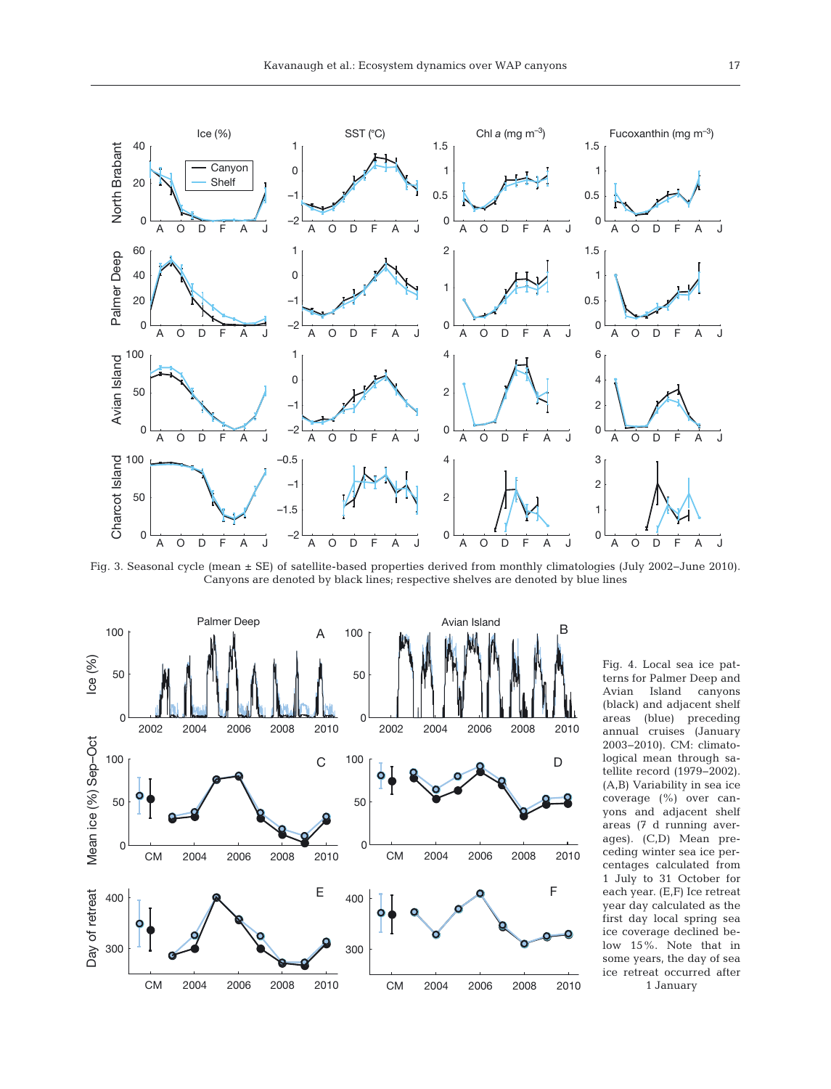

Fig. 3. Seasonal cycle (mean ± SE) of satellite-based properties derived from monthly climatologies (July 2002−June 2010). Canyons are denoted by black lines; respective shelves are denoted by blue lines



terns for Palmer Deep and Avian Island canyons (black) and adjacent shelf areas (blue) preceding annual cruises (January 2003−2010). CM: climatological mean through satellite record (1979− 2002). (A,B) Variability in sea ice coverage (%) over canyons and adjacent shelf areas (7 d running averages). (C,D) Mean preceding winter sea ice percentages calculated from 1 July to 31 October for each year. (E,F) Ice retreat year day calculated as the first day local spring sea ice coverage declined be low 15%. Note that in some years, the day of sea ice retreat occurred after 1 January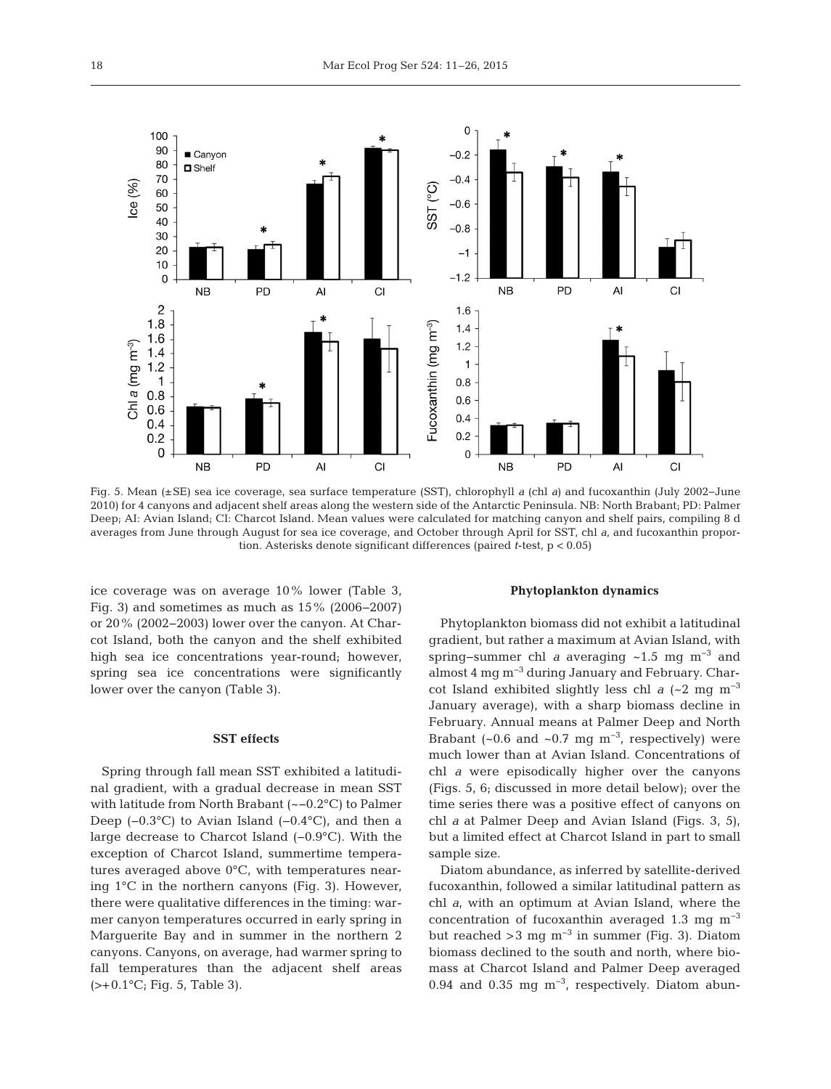

Fig. 5. Mean (±SE) sea ice coverage, sea surface temperature (SST), chlorophyll *a* (chl *a*) and fucoxanthin (July 2002−June 2010) for 4 canyons and adjacent shelf areas along the western side of the Antarctic Peninsula. NB: North Brabant; PD: Palmer Deep; AI: Avian Island; CI: Charcot Island. Mean values were calculated for matching canyon and shelf pairs, compiling 8 d averages from June through August for sea ice coverage, and October through April for SST, chl *a*, and fucoxanthin proportion. Asterisks denote significant differences (paired *t*-test, p < 0.05)

ice coverage was on average 10% lower (Table 3, Fig. 3) and sometimes as much as 15% (2006−2007) or 20% (2002−2003) lower over the canyon. At Charcot Island, both the canyon and the shelf exhibited high sea ice concentrations year-round; however, spring sea ice concentrations were significantly lower over the canyon (Table 3).

# **SST effects**

Spring through fall mean SST exhibited a latitudinal gradient, with a gradual decrease in mean SST with latitude from North Brabant (~−0.2°C) to Palmer Deep (−0.3°C) to Avian Island (−0.4°C), and then a large decrease to Charcot Island (−0.9°C). With the exception of Charcot Island, summertime temperatures averaged above 0°C, with temperatures nearing 1°C in the northern canyons (Fig. 3). However, there were qualitative differences in the timing: war mer canyon temperatures occurred in early spring in Marguerite Bay and in summer in the northern 2 canyons. Canyons, on average, had warmer spring to fall temperatures than the adjacent shelf areas  $(>= +0.1$ °C; Fig. 5, Table 3).

## **Phytoplankton dynamics**

Phytoplankton biomass did not exhibit a latitudinal gradient, but rather a maximum at Avian Island, with spring–summer chl *a* averaging ~1.5 mg m<sup>-3</sup> and almost 4 mg m−3 during January and February. Charcot Island exhibited slightly less chl  $a$  (~2 mg m<sup>-3</sup>) January average), with a sharp biomass decline in February. Annual means at Palmer Deep and North Brabant (~0.6 and ~0.7 mg m<sup>-3</sup>, respectively) were much lower than at Avian Island. Concentrations of chl *a* were episodically higher over the canyons (Figs. 5, 6; discussed in more detail below); over the time series there was a positive effect of canyons on chl *a* at Palmer Deep and Avian Island (Figs. 3, 5), but a limited effect at Charcot Island in part to small sample size.

Diatom abundance, as inferred by satellite-derived fucoxanthin, followed a similar latitudinal pattern as chl *a*, with an optimum at Avian Island, where the concentration of fucoxanthin averaged 1.3 mg  $m<sup>-3</sup>$ but reached >3 mg m<sup>-3</sup> in summer (Fig. 3). Diatom biomass declined to the south and north, where biomass at Charcot Island and Palmer Deep averaged 0.94 and 0.35 mg m−3, respectively. Diatom abun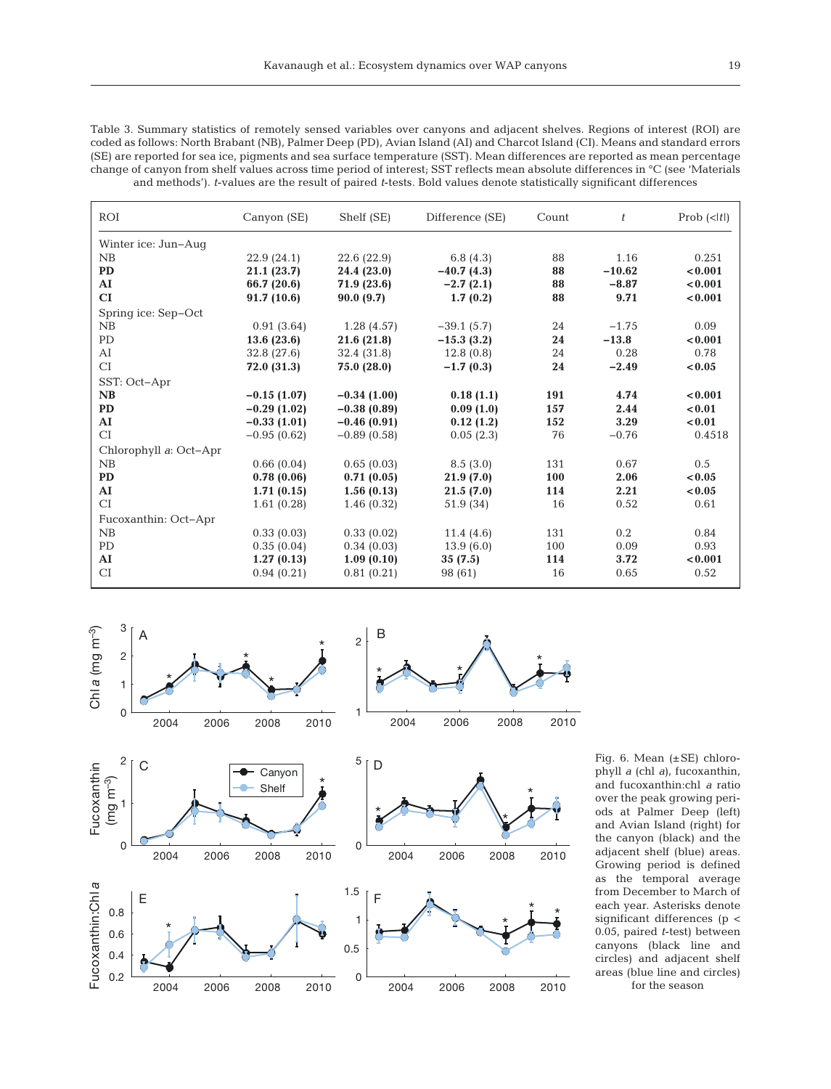Table 3. Summary statistics of remotely sensed variables over canyons and adjacent shelves. Regions of interest (ROI) are coded as follows: North Brabant (NB), Palmer Deep (PD), Avian Island (AI) and Charcot Island (CI). Means and standard errors (SE) are reported for sea ice, pigments and sea surface temperature (SST). Mean differences are reported as mean percentage change of canyon from shelf values across time period of interest; SST reflects mean absolute differences in °C (see 'Materials and methods'). *t*-values are the result of paired *t*-tests. Bold values denote statistically significant differences

| ROI                    | Canyon (SE)   | Shelf (SE)    | Difference (SE) | Count | t        | Prob $(\langle t )$ |
|------------------------|---------------|---------------|-----------------|-------|----------|---------------------|
| Winter ice: Jun-Auq    |               |               |                 |       |          |                     |
| NB                     | 22.9(24.1)    | 22.6(22.9)    | 6.8 $(4.3)$     | 88    | 1.16     | 0.251               |
| <b>PD</b>              | 21.1(23.7)    | 24.4 (23.0)   | $-40.7(4.3)$    | 88    | $-10.62$ | < 0.001             |
| AI                     | 66.7 (20.6)   | 71.9 (23.6)   | $-2.7(2.1)$     | 88    | $-8.87$  | < 0.001             |
| CI                     | 91.7(10.6)    | 90.0(9.7)     | 1.7(0.2)        | 88    | 9.71     | < 0.001             |
| Spring ice: Sep-Oct    |               |               |                 |       |          |                     |
| NB                     | 0.91(3.64)    | 1.28(4.57)    | $-39.1(5.7)$    | 24    | $-1.75$  | 0.09                |
| PD                     | 13.6(23.6)    | 21.6(21.8)    | $-15.3(3.2)$    | 24    | $-13.8$  | < 0.001             |
| AI                     | 32.8 (27.6)   | 32.4(31.8)    | 12.8(0.8)       | 24    | 0.28     | 0.78                |
| CI                     | 72.0 (31.3)   | 75.0 (28.0)   | $-1.7(0.3)$     | 24    | $-2.49$  | < 0.05              |
| SST: Oct-Apr           |               |               |                 |       |          |                     |
| NB                     | $-0.15(1.07)$ | $-0.34(1.00)$ | 0.18(1.1)       | 191   | 4.74     | < 0.001             |
| <b>PD</b>              | $-0.29(1.02)$ | $-0.38(0.89)$ | 0.09(1.0)       | 157   | 2.44     | < 0.01              |
| ${\bf AI}$             | $-0.33(1.01)$ | $-0.46(0.91)$ | 0.12(1.2)       | 152   | 3.29     | < 0.01              |
| CI                     | $-0.95(0.62)$ | $-0.89(0.58)$ | 0.05(2.3)       | 76    | $-0.76$  | 0.4518              |
| Chlorophyll a: Oct-Apr |               |               |                 |       |          |                     |
| NB                     | 0.66(0.04)    | 0.65(0.03)    | 8.5(3.0)        | 131   | 0.67     | 0.5                 |
| <b>PD</b>              | 0.78(0.06)    | 0.71(0.05)    | 21.9(7.0)       | 100   | 2.06     | < 0.05              |
| ${\bf AI}$             | 1.71(0.15)    | 1.56(0.13)    | 21.5(7.0)       | 114   | 2.21     | < 0.05              |
| CI                     | 1.61(0.28)    | 1.46(0.32)    | 51.9 (34)       | 16    | 0.52     | 0.61                |
| Fucoxanthin: Oct-Apr   |               |               |                 |       |          |                     |
| NB                     | 0.33(0.03)    | 0.33(0.02)    | 11.4(4.6)       | 131   | 0.2      | 0.84                |
| PD                     | 0.35(0.04)    | 0.34(0.03)    | 13.9(6.0)       | 100   | 0.09     | 0.93                |
| ${\bf AI}$             | 1.27(0.13)    | 1.09(0.10)    | 35(7.5)         | 114   | 3.72     | < 0.001             |
| CI                     | 0.94(0.21)    | 0.81(0.21)    | 98 (61)         | 16    | 0.65     | 0.52                |



Fig. 6. Mean (±SE) chlorophyll *a* (chl *a*), fucoxanthin, and fucoxanthin:chl *a* ratio over the peak growing periods at Palmer Deep (left) and Avian Island (right) for the canyon (black) and the adjacent shelf (blue) areas. Growing period is defined as the temporal average from December to March of each year. Asterisks denote significant differences (p < 0.05, paired *t*-test) between canyons (black line and circles) and adjacent shelf areas (blue line and circles) for the season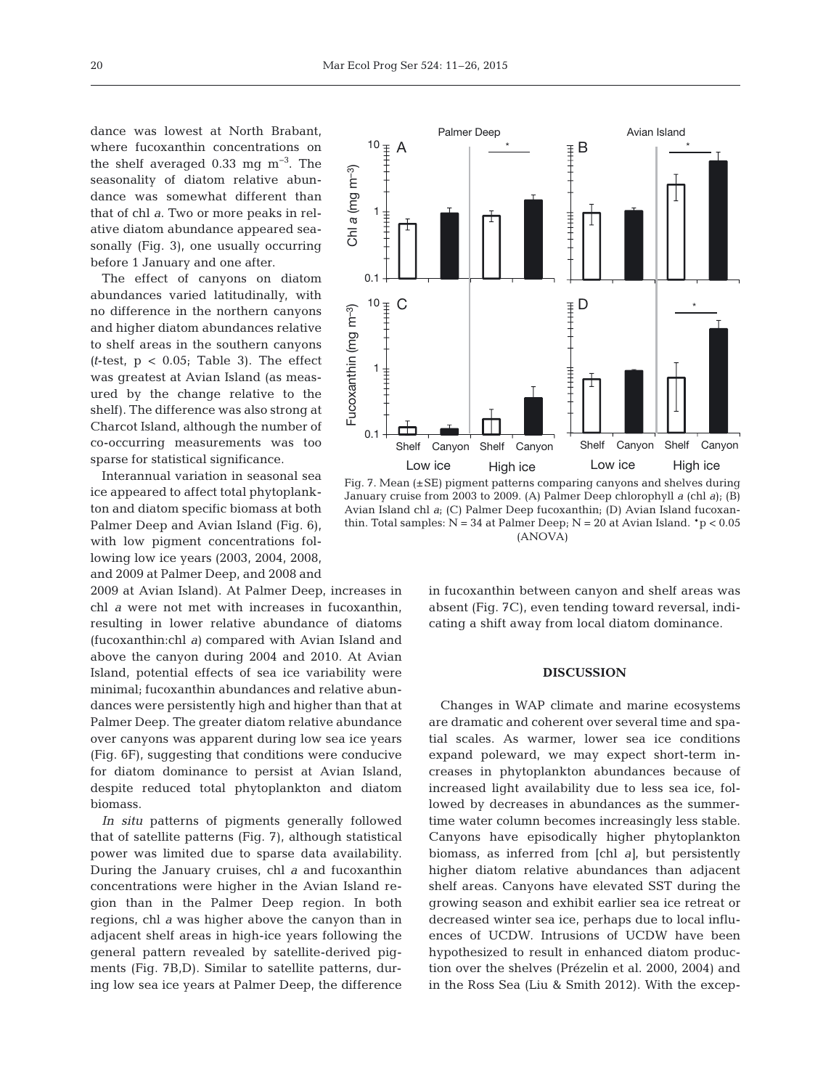dance was lowest at North Brabant, where fucoxanthin concentrations on the shelf averaged 0.33 mg m−3. The seasonality of diatom relative abundance was somewhat different than that of chl *a*. Two or more peaks in relative diatom abundance appeared seasonally (Fig. 3), one usually occurring before 1 January and one after.

The effect of canyons on diatom abundances varied latitudinally, with no difference in the northern canyons and higher diatom abundances relative to shelf areas in the southern canyons  $(t$ -test,  $p < 0.05$ ; Table 3). The effect was greatest at Avian Island (as measured by the change relative to the shelf). The difference was also strong at Charcot Island, although the number of co-occurring measurements was too sparse for statistical significance.

Interannual variation in seasonal sea ice appeared to affect total phytoplankton and diatom specific biomass at both Palmer Deep and Avian Island (Fig. 6), with low pigment concentrations following low ice years (2003, 2004, 2008, and 2009 at Palmer Deep, and 2008 and

2009 at Avian Island). At Palmer Deep, increases in chl *a* were not met with increases in fucoxanthin, resulting in lower relative abundance of diatoms (fucoxanthin:chl *a)* compared with Avian Island and above the canyon during 2004 and 2010. At Avian Island, potential effects of sea ice variability were minimal; fucoxanthin abundances and relative abundances were persistently high and higher than that at Palmer Deep. The greater diatom relative abundance over canyons was apparent during low sea ice years (Fig. 6F), suggesting that conditions were conducive for diatom dominance to persist at Avian Island, despite reduced total phytoplankton and diatom biomass.

*In situ* patterns of pigments generally followed that of satellite patterns (Fig. 7), although statistical power was limited due to sparse data availability. During the January cruises, chl *a* and fucoxanthin concentrations were higher in the Avian Island region than in the Palmer Deep region. In both regions, chl *a* was higher above the canyon than in adjacent shelf areas in high-ice years following the general pattern revealed by satellite-derived pigments (Fig. 7B,D). Similar to satellite patterns, during low sea ice years at Palmer Deep, the difference



Fig. 7. Mean (±SE) pigment patterns comparing canyons and shelves during January cruise from 2003 to 2009. (A) Palmer Deep chlorophyll *a* (chl *a*); (B) Avian Island chl *a*; (C) Palmer Deep fucoxanthin; (D) Avian Island fucoxanthin. Total samples:  $N = 34$  at Palmer Deep;  $N = 20$  at Avian Island.  $*p < 0.05$ (ANOVA)

in fucoxanthin between canyon and shelf areas was absent (Fig. 7C), even tending toward reversal, indicating a shift away from local diatom dominance.

## **DISCUSSION**

Changes in WAP climate and marine ecosystems are dramatic and coherent over several time and spatial scales. As warmer, lower sea ice conditions expand poleward, we may expect short-term increases in phytoplankton abundances because of increased light availability due to less sea ice, followed by decreases in abundances as the summertime water column becomes increasingly less stable. Canyons have episodically higher phytoplankton biomass, as inferred from [chl *a]*, but persistently higher diatom relative abundances than adjacent shelf areas. Canyons have elevated SST during the growing season and exhibit earlier sea ice retreat or decreased winter sea ice, perhaps due to local influences of UCDW. Intrusions of UCDW have been hypothesized to result in enhanced diatom production over the shelves (Prézelin et al. 2000, 2004) and in the Ross Sea (Liu & Smith 2012). With the excep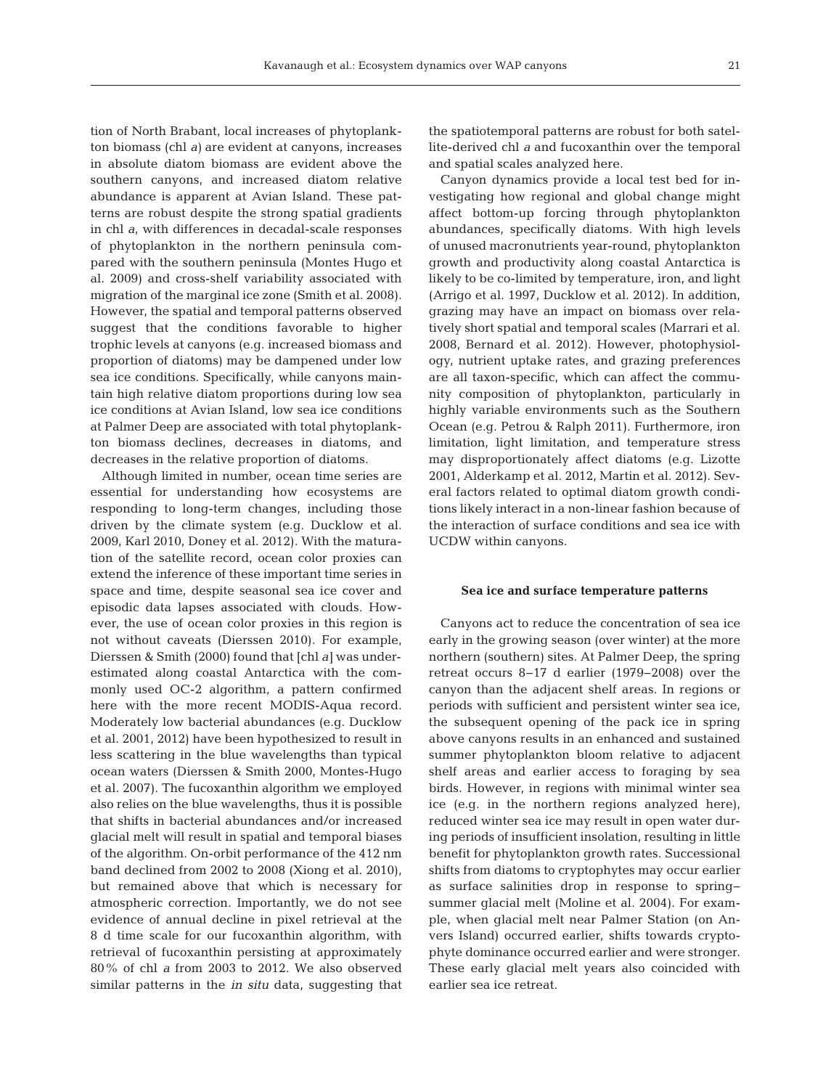tion of North Brabant, local increases of phytoplankton biomass (chl *a)* are evident at canyons, increases in absolute diatom biomass are evident above the southern canyons, and increased diatom relative abundance is apparent at Avian Island. These patterns are robust despite the strong spatial gradients in chl *a*, with differences in decadal-scale responses of phytoplankton in the northern peninsula compared with the southern peninsula (Montes Hugo et al. 2009) and cross-shelf variability associated with migration of the marginal ice zone (Smith et al. 2008). However, the spatial and temporal patterns observed suggest that the conditions favorable to higher trophic levels at canyons (e.g. increased biomass and proportion of diatoms) may be dampened under low sea ice conditions. Specifically, while canyons maintain high relative diatom proportions during low sea ice conditions at Avian Island, low sea ice conditions at Palmer Deep are associated with total phytoplankton biomass declines, decreases in diatoms, and decreases in the relative proportion of diatoms.

Although limited in number, ocean time series are essential for understanding how ecosystems are responding to long-term changes, including those driven by the climate system (e.g. Ducklow et al. 2009, Karl 2010, Doney et al. 2012). With the maturation of the satellite record, ocean color proxies can extend the inference of these important time series in space and time, despite seasonal sea ice cover and episodic data lapses associated with clouds. However, the use of ocean color proxies in this region is not without caveats (Dierssen 2010). For example, Dierssen & Smith (2000) found that [chl *a]* was underestimated along coastal Antarctica with the commonly used OC-2 algorithm, a pattern confirmed here with the more recent MODIS-Aqua record. Moderately low bacterial abundances (e.g. Ducklow et al. 2001, 2012) have been hypothesized to result in less scattering in the blue wavelengths than typical ocean waters (Dierssen & Smith 2000, Montes-Hugo et al. 2007). The fucoxanthin algorithm we employed also relies on the blue wavelengths, thus it is possible that shifts in bacterial abundances and/or increased glacial melt will result in spatial and temporal biases of the algorithm. On-orbit performance of the 412 nm band declined from 2002 to 2008 (Xiong et al. 2010), but remained above that which is necessary for atmospheric correction. Importantly, we do not see evidence of annual decline in pixel retrieval at the 8 d time scale for our fucoxanthin algorithm, with retrieval of fucoxanthin persisting at approximately 80% of chl *a* from 2003 to 2012. We also observed similar patterns in the *in situ* data, suggesting that

the spatiotemporal patterns are robust for both satellite-derived chl *a* and fucoxanthin over the temporal and spatial scales analyzed here.

Canyon dynamics provide a local test bed for investigating how regional and global change might affect bottom-up forcing through phytoplankton abundances, specifically diatoms. With high levels of unused macronutrients year-round, phytoplankton growth and productivity along coastal Antarctica is likely to be co-limited by temperature, iron, and light (Arrigo et al. 1997, Ducklow et al. 2012). In addition, grazing may have an impact on biomass over relatively short spatial and temporal scales (Marrari et al. 2008, Bernard et al. 2012). However, photophysiology, nutrient uptake rates, and grazing preferences are all taxon-specific, which can affect the community composition of phytoplankton, particularly in highly variable environments such as the Southern Ocean (e.g. Petrou & Ralph 2011). Furthermore, iron limitation, light limitation, and temperature stress may disproportionately affect diatoms (e.g. Lizotte 2001, Alderkamp et al. 2012, Martin et al. 2012). Several factors related to optimal diatom growth conditions likely interact in a non-linear fashion because of the interaction of surface conditions and sea ice with UCDW within canyons.

#### **Sea ice and surface temperature patterns**

Canyons act to reduce the concentration of sea ice early in the growing season (over winter) at the more northern (southern) sites. At Palmer Deep, the spring retreat occurs 8−17 d earlier (1979−2008) over the canyon than the adjacent shelf areas. In regions or periods with sufficient and persistent winter sea ice, the subsequent opening of the pack ice in spring above canyons results in an enhanced and sustained summer phytoplankton bloom relative to adjacent shelf areas and earlier access to foraging by sea birds. However, in regions with minimal winter sea ice (e.g. in the northern regions analyzed here), reduced winter sea ice may result in open water during periods of insufficient insolation, resulting in little benefit for phytoplankton growth rates. Successional shifts from diatoms to cryptophytes may occur earlier as surface salinities drop in response to spring− summer glacial melt (Moline et al. 2004). For example, when glacial melt near Palmer Station (on Anvers Island) occurred earlier, shifts towards cryptophyte dominance occurred earlier and were stronger. These early glacial melt years also coincided with earlier sea ice retreat.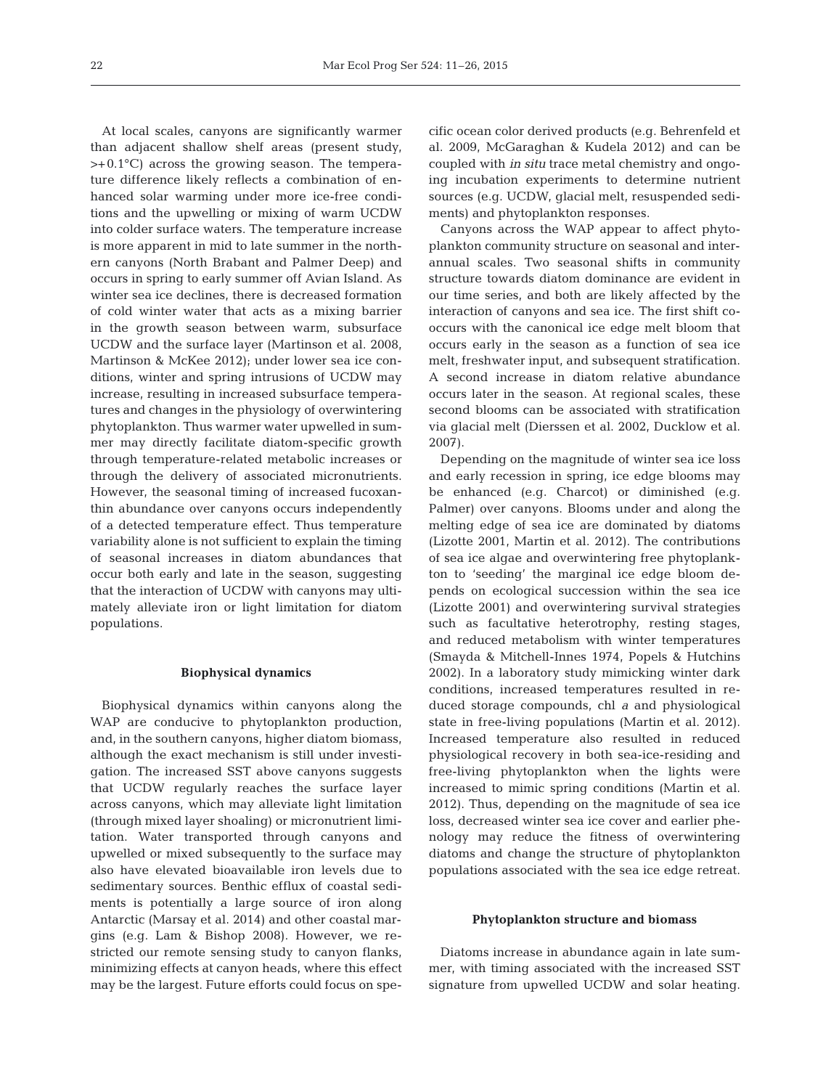At local scales, canyons are significantly warmer than adjacent shallow shelf areas (present study, >+0.1°C) across the growing season. The temperature difference likely reflects a combination of enhanced solar warming under more ice-free conditions and the upwelling or mixing of warm UCDW into colder surface waters. The temperature increase is more apparent in mid to late summer in the northern canyons (North Brabant and Palmer Deep) and occurs in spring to early summer off Avian Island. As winter sea ice declines, there is decreased formation of cold winter water that acts as a mixing barrier in the growth season between warm, subsurface UCDW and the surface layer (Martinson et al. 2008, Martinson & McKee 2012); under lower sea ice conditions, winter and spring intrusions of UCDW may increase, resulting in increased subsurface temperatures and changes in the physiology of overwintering phytoplankton. Thus warmer water upwelled in summer may directly facilitate diatom-specific growth through temperature-related metabolic increases or through the delivery of associated micronutrients. However, the seasonal timing of increased fucoxanthin abundance over canyons occurs independently of a detected temperature effect. Thus temperature variability alone is not sufficient to explain the timing of seasonal increases in diatom abundances that occur both early and late in the season, suggesting that the interaction of UCDW with canyons may ultima tely alleviate iron or light limitation for diatom populations.

# **Biophysical dynamics**

Biophysical dynamics within canyons along the WAP are conducive to phytoplankton production, and, in the southern canyons, higher diatom biomass, although the exact mechanism is still under investigation. The increased SST above canyons suggests that UCDW regularly reaches the surface layer across canyons, which may alleviate light limitation (through mixed layer shoaling) or micronutrient limitation. Water transported through canyons and upwelled or mixed subsequently to the surface may also have elevated bioavailable iron levels due to sedimentary sources. Benthic efflux of coastal sediments is potentially a large source of iron along Antarctic (Marsay et al. 2014) and other coastal margins (e.g. Lam & Bishop 2008). However, we re stricted our remote sensing study to canyon flanks, minimizing effects at canyon heads, where this effect may be the largest. Future efforts could focus on specific ocean color derived products (e.g. Behrenfeld et al. 2009, McGaraghan & Kudela 2012) and can be coupled with *in situ* trace metal chemistry and ongoing incubation experiments to determine nutrient sources (e.g. UCDW, glacial melt, resuspended sediments) and phytoplankton responses.

Canyons across the WAP appear to affect phytoplankton community structure on seasonal and interannual scales. Two seasonal shifts in community structure towards diatom dominance are evident in our time series, and both are likely affected by the interaction of canyons and sea ice. The first shift cooccurs with the canonical ice edge melt bloom that occurs early in the season as a function of sea ice melt, freshwater input, and subsequent stratification. A second increase in diatom relative abundance occurs later in the season. At regional scales, these second blooms can be associated with stratification via glacial melt (Dierssen et al. 2002, Ducklow et al. 2007).

Depending on the magnitude of winter sea ice loss and early recession in spring, ice edge blooms may be enhanced (e.g. Charcot) or diminished (e.g. Palmer) over canyons. Blooms under and along the melting edge of sea ice are dominated by diatoms (Lizotte 2001, Martin et al. 2012). The contributions of sea ice algae and overwintering free phytoplankton to 'seeding' the marginal ice edge bloom depends on ecological succession within the sea ice (Lizotte 2001) and overwintering survival strategies such as facultative heterotrophy, resting stages, and reduced metabolism with winter temperatures (Smayda & Mitchell-Innes 1974, Popels & Hutchins 2002). In a laboratory study mimicking winter dark conditions, increased temperatures resulted in reduced storage compounds, chl *a* and physiological state in free-living populations (Martin et al. 2012). Increased temperature also resulted in reduced physiological recovery in both sea-ice- residing and free-living phytoplankton when the lights were increased to mimic spring conditions (Martin et al. 2012). Thus, depending on the magnitude of sea ice loss, decreased winter sea ice cover and earlier phenology may reduce the fitness of overwintering diatoms and change the structure of phytoplankton populations associated with the sea ice edge retreat.

#### **Phytoplankton structure and biomass**

Diatoms increase in abundance again in late summer, with timing associated with the increased SST signature from upwelled UCDW and solar heating.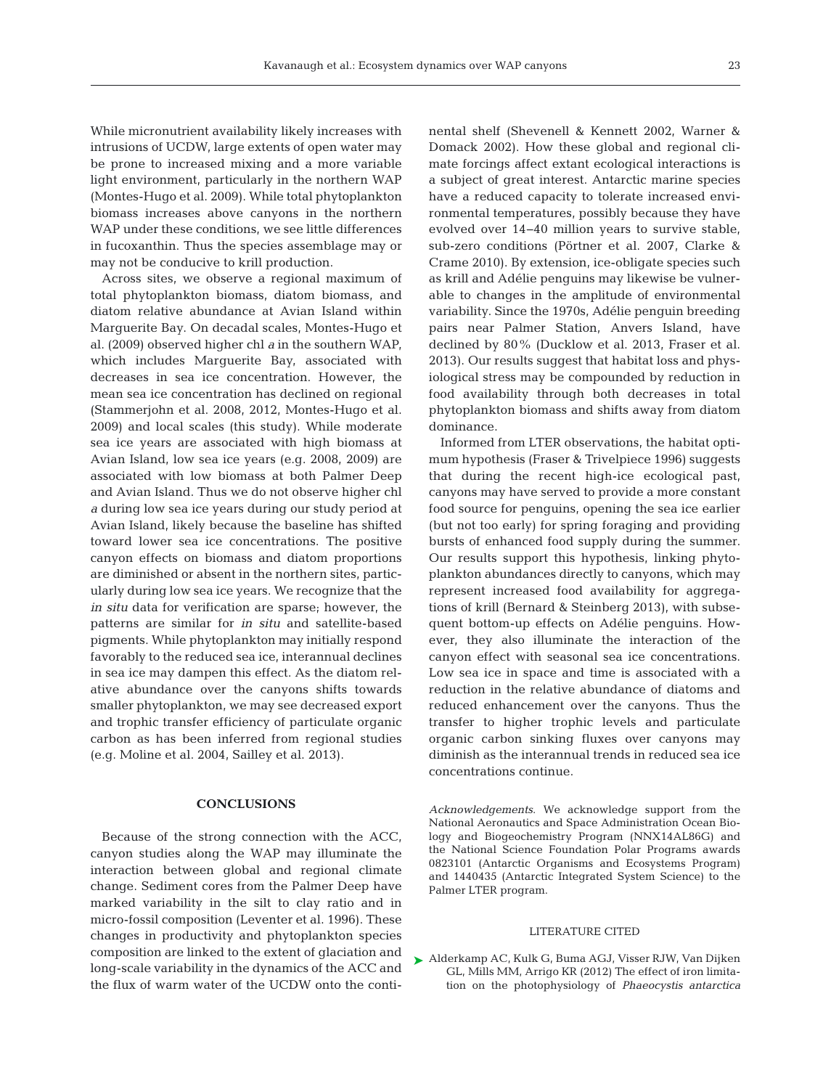While micronutrient availability likely increases with intrusions of UCDW, large extents of open water may be prone to increased mixing and a more variable light environment, particularly in the northern WAP (Montes-Hugo et al. 2009). While total phytoplankton biomass increases above canyons in the northern WAP under these conditions, we see little differences in fucoxanthin. Thus the species assemblage may or may not be conducive to krill production.

Across sites, we observe a regional maximum of total phytoplankton biomass, diatom biomass, and diatom relative abundance at Avian Island within Marguerite Bay. On decadal scales, Montes-Hugo et al. (2009) observed higher chl *a* in the southern WAP, which includes Marguerite Bay, associated with decreases in sea ice concentration. However, the mean sea ice concentration has declined on regional (Stammerjohn et al. 2008, 2012, Montes-Hugo et al. 2009) and local scales (this study). While moderate sea ice years are associated with high biomass at Avian Island, low sea ice years (e.g. 2008, 2009) are associated with low biomass at both Palmer Deep and Avian Island. Thus we do not observe higher chl *a* during low sea ice years during our study period at Avian Island, likely because the baseline has shifted toward lower sea ice concentrations. The positive canyon effects on biomass and diatom proportions are diminished or absent in the northern sites, particularly during low sea ice years. We recognize that the *in situ* data for verification are sparse; however, the patterns are similar for *in situ* and satellite-based pigments. While phytoplankton may initially respond favorably to the reduced sea ice, interannual declines in sea ice may dampen this effect. As the diatom relative abundance over the canyons shifts towards smaller phytoplankton, we may see decreased export and trophic transfer efficiency of particulate organic carbon as has been inferred from regional studies (e.g. Moline et al. 2004, Sailley et al. 2013).

# **CONCLUSIONS**

Because of the strong connection with the ACC, canyon studies along the WAP may illuminate the interaction between global and regional climate change. Sediment cores from the Palmer Deep have marked variability in the silt to clay ratio and in micro-fossil composition (Leventer et al. 1996). These changes in productivity and phytoplankton species composition are linked to the extent of glaciation and long-scale variability in the dynamics of the ACC and the flux of warm water of the UCDW onto the continental shelf (Shevenell & Kennett 2002, Warner & Domack 2002). How these global and regional climate forcings affect extant ecological interactions is a subject of great interest. Antarctic marine species have a reduced capacity to tolerate increased environmental temperatures, possibly because they have evolved over 14−40 million years to survive stable, sub-zero conditions (Pörtner et al. 2007, Clarke & Crame 2010). By extension, ice-obligate species such as krill and Adélie penguins may likewise be vulnerable to changes in the amplitude of environmental variability. Since the 1970s, Adélie penguin breeding pairs near Palmer Station, Anvers Island, have declined by 80% (Ducklow et al. 2013, Fraser et al. 2013). Our results suggest that habitat loss and physiological stress may be compounded by reduction in food availability through both decreases in total phytoplankton biomass and shifts away from diatom dominance.

Informed from LTER observations, the habitat optimum hypothesis (Fraser & Trivelpiece 1996) suggests that during the recent high-ice ecological past, canyons may have served to provide a more constant food source for penguins, opening the sea ice earlier (but not too early) for spring foraging and providing bursts of enhanced food supply during the summer. Our results support this hypothesis, linking phytoplankton abundances directly to canyons, which may represent increased food availability for aggregations of krill (Bernard & Steinberg 2013), with subsequent bottom-up effects on Adélie penguins. However, they also illuminate the interaction of the canyon effect with seasonal sea ice concentrations. Low sea ice in space and time is associated with a reduction in the relative abundance of diatoms and reduced enhancement over the canyons. Thus the transfer to higher trophic levels and particulate organic carbon sinking fluxes over canyons may diminish as the interannual trends in reduced sea ice concentrations continue.

*Acknowledgements*. We acknowledge support from the National Aeronautics and Space Administration Ocean Bio logy and Biogeochemistry Program (NNX14AL86G) and the National Science Foundation Polar Programs awards 0823101 (Antarctic Organisms and Ecosystems Program) and 1440435 (Antarctic Integrated System Science) to the Palmer LTER program.

## LITERATURE CITED

[Alderkamp AC, Kulk G, Buma AGJ, Visser RJW, Van Dijken](http://dx.doi.org/10.1111/j.1529-8817.2011.01098.x) ➤GL, Mills MM, Arrigo KR (2012) The effect of iron limitation on the photophysiology of *Phaeocystis antarctica*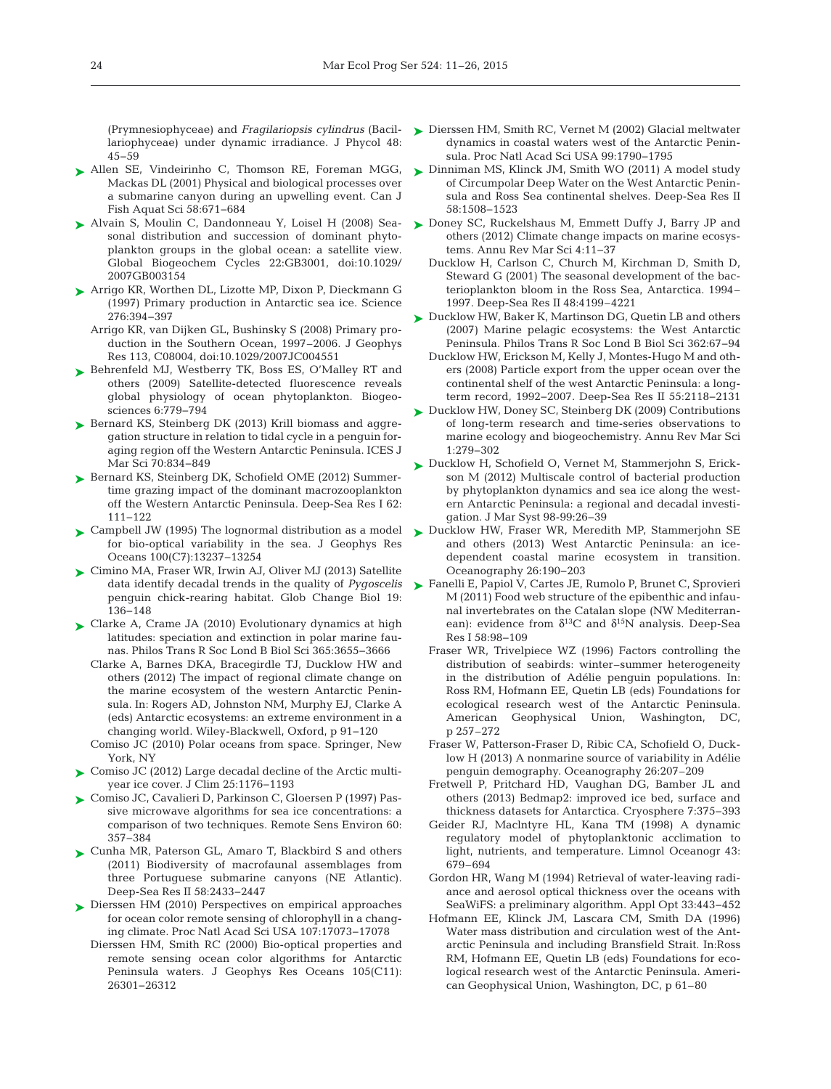lariophyceae) under dynamic irradiance. J Phycol 48: 45−59

- ▶ [Allen SE, Vindeirinho C, Thomson RE, Foreman MGG,](http://dx.doi.org/10.1139/f01-008) Mackas DL (2001) Physical and biological processes over a submarine canyon during an upwelling event. Can J Fish Aquat Sci 58: 671−684
- [Alvain S, Moulin C, Dandonneau Y, Loisel H \(2008\) Sea-](http://dx.doi.org/10.1029/2007GB003154)➤ sonal distribution and succession of dominant phytoplankton groups in the global ocean: a satellite view. Global Biogeochem Cycles 22: GB3001, doi:10.1029/ 2007GB003154
- ▶ [Arrigo KR, Worthen DL, Lizotte MP, Dixon P, Dieckmann G](http://dx.doi.org/10.1126/science.276.5311.394) (1997) Primary production in Antarctic sea ice. Science 276: 394−397
	- Arrigo KR, van Dijken GL, Bushinsky S (2008) Primary production in the Southern Ocean, 1997–2006. J Geophys Res 113, C08004, doi:10.1029/2007JC004551
- ▶ [Behrenfeld MJ, Westberry TK, Boss ES, O'Malley RT and](http://dx.doi.org/10.5194/bg-6-779-2009) others (2009) Satellite-detected fluorescence reveals global physiology of ocean phytoplankton. Biogeosciences 6:779-794
- ► [Bernard KS, Steinberg DK \(2013\) Krill biomass and aggre](http://dx.doi.org/10.1093/icesjms/fst088)gation structure in relation to tidal cycle in a penguin foraging region off the Western Antarctic Peninsula. ICES J Mar Sci 70:834-849
- ▶ [Bernard KS, Steinberg DK, Schofield OME \(2012\) Summer](http://dx.doi.org/10.1016/j.dsr.2011.12.015)time grazing impact of the dominant macrozooplankton off the Western Antarctic Peninsula. Deep-Sea Res I 62: 111−122
- [Campbell JW \(1995\) The lognormal distribution as a model](http://dx.doi.org/10.1029/95JC00458) ➤ for bio-optical variability in the sea. J Geophys Res Oceans 100(C7): 13237−13254
- ► [Cimino MA, Fraser WR, Irwin AJ, Oliver MJ \(2013\) Satellite](http://dx.doi.org/10.1111/gcb.12016) data identify decadal trends in the quality of *Pygoscelis* penguin chick-rearing habitat. Glob Change Biol 19: 136−148
- ► [Clarke A, Crame JA \(2010\) Evolutionary dynamics at high](http://dx.doi.org/10.1098/rstb.2010.0270) latitudes: speciation and extinction in polar marine faunas. Philos Trans R Soc Lond B Biol Sci 365: 3655−3666
	- Clarke A, Barnes DKA, Bracegirdle TJ, Ducklow HW and others (2012) The impact of regional climate change on the marine ecosystem of the western Antarctic Peninsula. In: Rogers AD, Johnston NM, Murphy EJ, Clarke A (eds) Antarctic ecosystems: an extreme environment in a changing world. Wiley-Blackwell, Oxford, p 91−120
	- Comiso JC (2010) Polar oceans from space. Springer, New York, NY
- ► [Comiso JC \(2012\) Large decadal decline of the Arctic multi](http://dx.doi.org/10.1175/JCLI-D-11-00113.1)year ice cover. J Clim 25: 1176−1193
- [Comiso JC, Cavalieri D, Parkinson C, Gloersen P \(1997\) Pas-](http://dx.doi.org/10.1016/S0034-4257(96)00220-9)➤ sive microwave algorithms for sea ice concentrations: a comparison of two techniques. Remote Sens Environ 60: 357−384
- ► [Cunha MR, Paterson GL, Amaro T, Blackbird S and others](http://dx.doi.org/10.1016/j.dsr2.2011.04.007) (2011) Biodiversity of macrofaunal assemblages from three Portuguese submarine canyons (NE Atlantic). Deep-Sea Res II 58:2433-2447
- ► [Dierssen HM \(2010\) Perspectives on empirical approaches](http://dx.doi.org/10.1073/pnas.0913800107) for ocean color remote sensing of chlorophyll in a changing climate. Proc Natl Acad Sci USA 107: 17073−17078
	- Dierssen HM, Smith RC (2000) Bio-optical properties and remote sensing ocean color algorithms for Antarctic Peninsula waters. J Geophys Res Oceans 105(C11): 26301−26312
- (Prymnesiophyceae) and *Fragilariopsis cylindrus* (Bacil-[Dierssen HM, Smith RC, Vernet M \(2002\) Glacial meltwater](http://dx.doi.org/10.1073/pnas.032206999) ➤ dynamics in coastal waters west of the Antarctic Peninsula. Proc Natl Acad Sci USA 99: 1790−1795
	- ► [Dinniman MS, Klinck JM, Smith WO \(2011\) A model study](http://dx.doi.org/10.1016/j.dsr2.2010.11.013) of Circumpolar Deep Water on the West Antarctic Peninsula and Ross Sea continental shelves. Deep-Sea Res II 58: 1508−1523
	- ► [Doney SC, Ruckelshaus M, Emmett Duffy J, Barry JP and](http://dx.doi.org/10.1016/j.dsr2.2008.05.014) others (2012) Climate change impacts on marine ecosystems. Annu Rev Mar Sci 4: 11−37
		- Ducklow H, Carlson C, Church M, Kirchman D, Smith D, Steward G (2001) The seasonal development of the bacterioplankton bloom in the Ross Sea, Antarctica. 1994– 1997. Deep-Sea Res II 48:4199–4221
	- ► [Ducklow HW, Baker K, Martinson DG, Quetin LB and others](http://dx.doi.org/10.1016/j.dsr2.2008.04.028) (2007) Marine pelagic ecosystems: the West Antarctic Peninsula. Philos Trans R Soc Lond B Biol Sci 362:67-94
		- Ducklow HW, Erickson M, Kelly J, Montes-Hugo M and others (2008) Particle export from the upper ocean over the continental shelf of the west Antarctic Peninsula: a longterm record, 1992−2007. Deep-Sea Res II 55:2118−2131
	- [Ducklow HW, Doney SC, Steinberg DK \(2009\) Contributions](http://dx.doi.org/10.1146/annurev.marine.010908.163801) ➤ of long-term research and time-series observations to marine ecology and biogeochemistry. Annu Rev Mar Sci 1: 279−302
	- ▶ [Ducklow H, Schofield O, Vernet M, Stammerjohn S, Erick](http://dx.doi.org/10.1016/j.jmarsys.2012.03.003)son M (2012) Multiscale control of bacterial production by phytoplankton dynamics and sea ice along the western Antarctic Peninsula: a regional and decadal investigation. J Mar Syst 98-99:26-39
	- ▶ [Ducklow HW, Fraser WR, Meredith MP, Stammerjohn SE](http://dx.doi.org/10.5670/oceanog.2013.62) and others (2013) West Antarctic Peninsula: an icedependent coastal marine ecosystem in transition. Oceanography 26: 190−203
	- [Fanelli E, Papiol V, Cartes JE, Rumolo P, Brunet C, Sprovieri](http://dx.doi.org/10.1007/BF00239374) ➤M (2011) Food web structure of the epibenthic and infaunal invertebrates on the Catalan slope (NW Mediterranean): evidence from  $\delta^{13}C$  and  $\delta^{15}N$  analysis. Deep-Sea Res I 58:98-109
		- Fraser WR, Trivelpiece WZ (1996) Factors controlling the distribution of seabirds: winter–summer heterogeneity in the distribution of Adélie penguin populations. In: Ross RM, Hofmann EE, Quetin LB (eds) Foundations for eco logical research west of the Antarctic Peninsula. American Geophysical Union, Washington, DC, p 257–272
		- Fraser W, Patterson-Fraser D, Ribic CA, Schofield O, Ducklow H (2013) A nonmarine source of variability in Adélie penguin demography. Oceanography 26:207–209
		- Fretwell P, Pritchard HD, Vaughan DG, Bamber JL and others (2013) Bedmap2: improved ice bed, surface and thickness datasets for Antarctica. Cryosphere 7: 375−393
		- Geider RJ, Maclntyre HL, Kana TM (1998) A dynamic regulatory model of phytoplanktonic acclimation to light, nutrients, and temperature. Limnol Oceanogr 43: 679–694
		- Gordon HR, Wang M (1994) Retrieval of water-leaving radiance and aerosol optical thickness over the oceans with SeaWiFS: a preliminary algorithm. Appl Opt 33:443-452
		- Hofmann EE, Klinck JM, Lascara CM, Smith DA (1996) Water mass distribution and circulation west of the Antarctic Peninsula and including Bransfield Strait. In: Ross RM, Hofmann EE, Quetin LB (eds) Foundations for ecological research west of the Antarctic Peninsula. American Geophysical Union, Washington, DC, p 61–80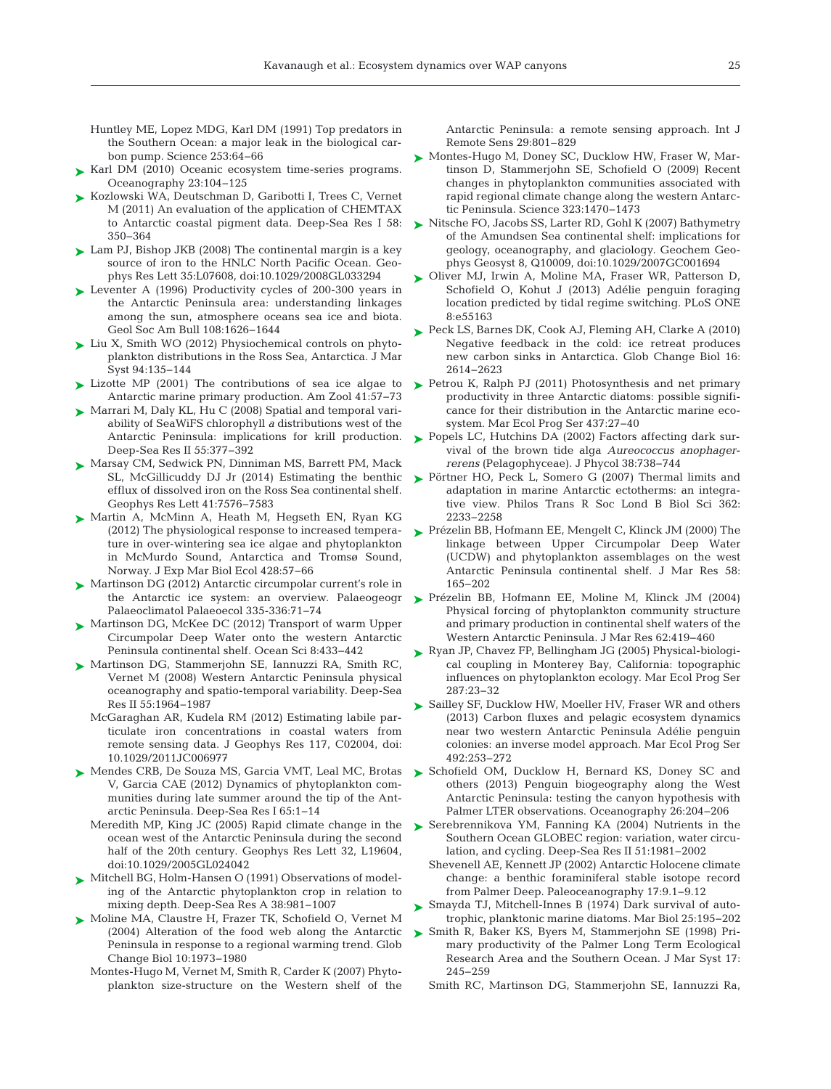Huntley ME, Lopez MDG, Karl DM (1991) Top predators in the Southern Ocean: a major leak in the biological carbon pump. Science 253: 64−66

- ► [Karl DM \(2010\) Oceanic ecosystem time-series programs.](http://dx.doi.org/10.5670/oceanog.2010.27) Oceanography 23: 104−125
- ► [Kozlowski WA, Deutschman D, Garibotti I, Trees C, Vernet](http://dx.doi.org/10.1016/j.dsr.2011.01.008) M (2011) An evaluation of the application of CHEMTAX to Antarctic coastal pigment data. Deep-Sea Res I 58: 350−364
- [Lam PJ, Bishop JKB \(2008\) The continental margin is a key](http://dx.doi.org/10.1029/2008GL033294) ➤ source of iron to the HNLC North Pacific Ocean. Geophys Res Lett 35: L07608, doi: 10.1029/2008GL033294
- ► [Leventer A \(1996\) Productivity cycles of 200-300 years in](http://dx.doi.org/10.1130/0016-7606(1996)108%3C1626%3APCOYIT%3E2.3.CO%3B2) the Antarctic Peninsula area: understanding linkages among the sun, atmosphere oceans sea ice and biota. Geol Soc Am Bull 108: 1626−1644
- ► [Liu X, Smith WO \(2012\) Physiochemical controls on phyto](http://dx.doi.org/10.1016/j.jmarsys.2011.11.013)plankton distributions in the Ross Sea, Antarctica. J Mar Syst 94: 135−144
- ► [Lizotte MP \(2001\) The contributions of sea ice algae to](http://dx.doi.org/10.1668/0003-1569(2001)041%5b0057%3ATCOSIA%5d2.0.CO%3B2) Antarctic marine primary production. Am Zool 41:57-73
- ► [Marrari M, Daly KL, Hu C \(2008\) Spatial and temporal vari](http://dx.doi.org/10.1016/j.dsr2.2007.11.011)ability of SeaWiFS chlorophyll *a* distributions west of the Antarctic Peninsula: implications for krill production. Deep-Sea Res II 55:377-392
- [Marsay CM, Sedwick PN, Dinniman MS, Barrett PM, Mack](http://dx.doi.org/10.1002/2014GL061684) ➤ SL, McGillicuddy DJ Jr (2014) Estimating the benthic efflux of dissolved iron on the Ross Sea continental shelf. Geophys Res Lett 41:7576-7583
- ▶ [Martin A, McMinn A, Heath M, Hegseth EN, Ryan KG](http://dx.doi.org/10.1016/j.jembe.2012.06.006) (2012) The physiological response to increased temperature in over-wintering sea ice algae and phytoplankton in McMurdo Sound, Antarctica and Tromsø Sound, Norway. J Exp Mar Biol Ecol 428:57-66
- ► [Martinson DG \(2012\) Antarctic circumpolar current's role in](http://dx.doi.org/10.1016/j.palaeo.2011.04.007) Palaeoclimatol Palaeoecol 335-336: 71−74
- ► [Martinson DG, McKee DC \(2012\) Transport of warm Upper](http://dx.doi.org/10.5194/os-8-433-2012) Circumpolar Deep Water onto the western Antarctic Peninsula continental shelf. Ocean Sci 8: 433−442
- ▶ [Martinson DG, Stammerjohn SE, Iannuzzi RA, Smith RC,](http://dx.doi.org/10.1016/j.dsr2.2008.04.038) Vernet M (2008) Western Antarctic Peninsula physical oceanography and spatio-temporal variability. Deep-Sea Res II 55: 1964−1987
	- McGaraghan AR, Kudela RM (2012) Estimating labile particulate iron concentrations in coastal waters from remote sensing data. J Geophys Res 117, C02004, doi: 10.1029/2011JC006977
- ▶ [Mendes CRB, De Souza MS, Garcia VMT, Leal MC, Brotas](http://dx.doi.org/10.1016/j.dsr.2012.03.002) V, Garcia CAE (2012) Dynamics of phytoplankton communities during late summer around the tip of the Antarctic Peninsula. Deep-Sea Res I 65: 1−14
	- Meredith MP, King JC (2005) Rapid climate change in the ocean west of the Antarctic Peninsula during the second half of the 20th century. Geophys Res Lett 32, L19604, doi:10.1029/2005GL024042
- ► [Mitchell BG, Holm-Hansen O \(1991\) Observations of model](http://dx.doi.org/10.1016/0198-0149(91)90093-U)ing of the Antarctic phytoplankton crop in relation to mixing depth. Deep-Sea Res A 38: 981−1007
- ▶ [Moline MA, Claustre H, Frazer TK, Schofield O, Vernet M](http://dx.doi.org/10.1111/j.1365-2486.2004.00825.x) (2004) Alteration of the food web along the Antarctic Peninsula in response to a regional warming trend. Glob Change Biol 10: 1973−1980
	- Montes-Hugo M, Vernet M, Smith R, Carder K (2007) Phytoplankton size-structure on the Western shelf of the

Antarctic Peninsula: a remote sensing approach. Int J Remote Sens 29:801–829

- ► [Montes-Hugo M, Doney SC, Ducklow HW, Fraser W, Mar](http://dx.doi.org/10.1126/science.1164533)tinson D, Stammerjohn SE, Schofield O (2009) Recent changes in phytoplankton communities associated with rapid regional climate change along the western Antarctic Peninsula. Science 323: 1470−1473
- ► [Nitsche FO, Jacobs SS, Larter RD, Gohl K \(2007\) Bathymetry](http://dx.doi.org/10.1029/2007GC001694) of the Amundsen Sea continental shelf: implications for geology, oceanography, and glaciology. Geochem Geophys Geosyst 8, Q10009, doi: 10.1029/2007GC001694
- ► [Oliver MJ, Irwin A, Moline MA, Fraser WR, Patterson D,](http://dx.doi.org/10.1007/PL00013376) Schofield O, Kohut J (2013) Adélie penguin foraging location predicted by tidal regime switching. PLoS ONE 8: e55163
- ► [Peck LS, Barnes DK, Cook AJ, Fleming AH, Clarke A \(2010\)](http://dx.doi.org/10.1111/j.1365-2486.2009.02071.x) Negative feedback in the cold: ice retreat produces new carbon sinks in Antarctica. Glob Change Biol 16: 2614−2623
- ► [Petrou K, Ralph PJ \(2011\) Photosynthesis and net primary](http://dx.doi.org/10.3354/meps09291) productivity in three Antarctic diatoms: possible significance for their distribution in the Antarctic marine ecosystem. Mar Ecol Prog Ser 437:27-40
- ▶ [Popels LC, Hutchins DA \(2002\) Factors affecting dark sur](http://dx.doi.org/10.1046/j.1529-8817.2002.01115.x)vival of the brown tide alga *Aureococcus anophagerrerens* (Pelagophyceae). J Phycol 38: 738−744
- ▶ [Pörtner HO, Peck L, Somero G \(2007\) Thermal limits and](http://dx.doi.org/10.1098/rstb.2006.1947) adaptation in marine Antarctic ectotherms: an integrative view. Philos Trans R Soc Lond B Biol Sci 362: 2233−2258
- ► [Prézelin BB, Hofmann EE, Mengelt C, Klinck JM \(2000\) The](http://dx.doi.org/10.1357/002224000321511133) linkage between Upper Circumpolar Deep Water (UCDW) and phytoplankton assemblages on the west Antarctic Peninsula continental shelf. J Mar Res 58: 165−202
- the Antarctic ice system: an overview. Palaeogeogr  $\blacktriangleright$  [Prézelin BB, Hofmann EE, Moline M, Klinck JM \(2004\)](http://dx.doi.org/10.1357/0022240041446173) Physical forcing of phytoplankton community structure and primary production in continental shelf waters of the Western Antarctic Peninsula. J Mar Res 62:419-460
	- ► [Ryan JP, Chavez FP, Bellingham JG \(2005\) Physical-biologi](http://dx.doi.org/10.3354/meps287023)cal coupling in Monterey Bay, California: topographic influences on phytoplankton ecology. Mar Ecol Prog Ser 287: 23–32
	- ► [Sailley SF, Ducklow HW, Moeller HV, Fraser WR and others](http://dx.doi.org/10.4319/lo.2014.59.1.0017) (2013) Carbon fluxes and pelagic ecosystem dynamics near two western Antarctic Peninsula Adélie penguin colonies:an inverse model approach. Mar Ecol Prog Ser 492: 253−272
	- ▶ [Schofield OM, Ducklow H, Bernard KS, Doney SC and](http://dx.doi.org/10.5670/oceanog.2013.63) others (2013) Penguin biogeography along the West Antarctic Peninsula: testing the canyon hypothesis with Palmer LTER observations. Oceanography 26:204-206
	- ▶ [Serebrennikova YM, Fanning KA \(2004\) Nutrients in the](http://dx.doi.org/10.1016/j.dsr2.2004.07.023) Southern Ocean GLOBEC region: variation, water circulation, and cycling. Deep-Sea Res II 51: 1981−2002
		- Shevenell AE, Kennett JP (2002) Antarctic Holocene climate change: a benthic foraminiferal stable isotope record from Palmer Deep. Paleoceanography 17:9.1-9.12
	- [Smayda TJ, Mitchell-Innes B \(1974\) Dark survival of auto-](http://dx.doi.org/10.1007/BF00394965)➤ trophic, planktonic marine diatoms. Mar Biol 25: 195−202
	- [Smith R, Baker KS, Byers M, Stammerjohn SE \(1998\) Pri-](http://dx.doi.org/10.1016/j.dsr2.2008.04.027)➤mary productivity of the Palmer Long Term Ecological Research Area and the Southern Ocean. J Mar Syst 17: 245−259
		- Smith RC, Martinson DG, Stammerjohn SE, Iannuzzi Ra,